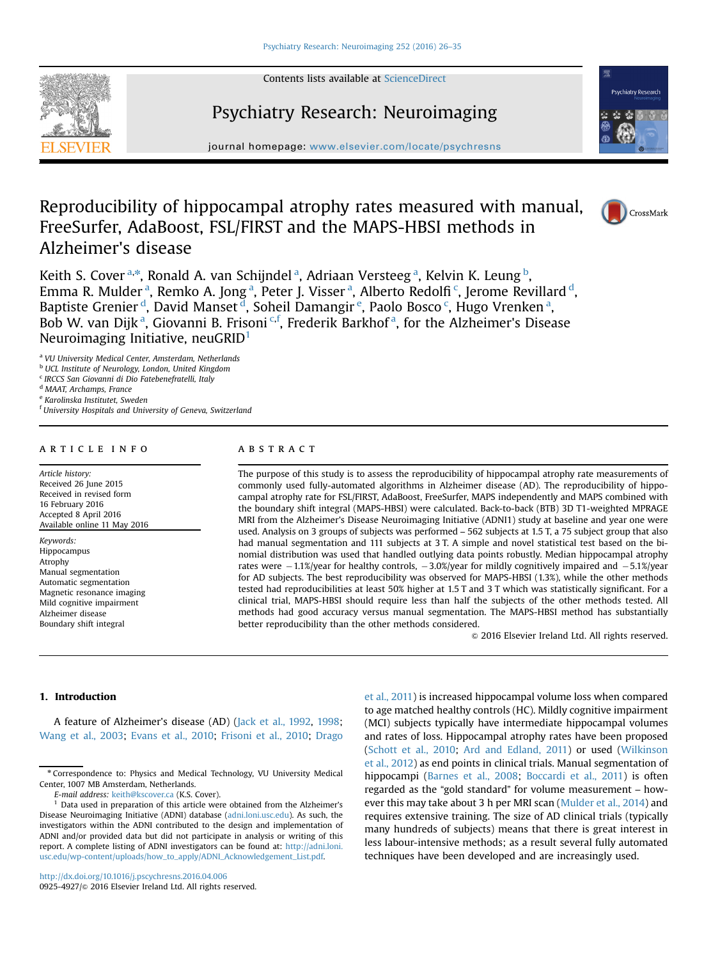Contents lists available at [ScienceDirect](www.sciencedirect.com/science/journal/09254927)





# Psychiatry Research: Neuroimaging

journal homepage: <www.elsevier.com/locate/psychresns>.

# Reproducibility of hippocampal atrophy rates measured with manual, FreeSurfer, AdaBoost, FSL/FIRST and the MAPS-HBSI methods in Alzheimer's disease



Keith S. Cover <sup>a,\*</sup>, Ronald A. van Schijndel <sup>a</sup>, Adriaan Versteeg <sup>a</sup>, Kelvin K. Leung <sup>b</sup>, Emma R. Mulder<sup>a</sup>, Remko A. Jong<sup>a</sup>, Peter J. Visser<sup>a</sup>, Alberto Redolfi<sup>c</sup>, Jerome Revillard<sup>d</sup>, Baptiste Grenier <sup>d</sup>, David Manset <sup>d</sup>, Soheil Damangir <sup>e</sup>, Paolo Bosco <sup>c</sup>, Hugo Vrenken <sup>a</sup>, Bob W. van Dijk<sup>a</sup>, Giovanni B. Frisoni<sup>c, f</sup>, Frederik Barkhof<sup>a</sup>, for the Alzheimer's Disease Neuroimaging Initiative, neu $GRID<sup>1</sup>$ 

<sup>a</sup> VU University Medical Center, Amsterdam, Netherlands

- **b UCL Institute of Neurology, London, United Kingdom**
- <sup>c</sup> IRCCS San Giovanni di Dio Fatebenefratelli, Italy

<sup>d</sup> MAAT, Archamps, France

<sup>e</sup> Karolinska Institutet, Sweden

f University Hospitals and University of Geneva, Switzerland

#### article info

Article history: Received 26 June 2015 Received in revised form 16 February 2016 Accepted 8 April 2016 Available online 11 May 2016 Keywords:

Hippocampus Atrophy Manual segmentation Automatic segmentation Magnetic resonance imaging Mild cognitive impairment Alzheimer disease Boundary shift integral

## **ABSTRACT**

The purpose of this study is to assess the reproducibility of hippocampal atrophy rate measurements of commonly used fully-automated algorithms in Alzheimer disease (AD). The reproducibility of hippocampal atrophy rate for FSL/FIRST, AdaBoost, FreeSurfer, MAPS independently and MAPS combined with the boundary shift integral (MAPS-HBSI) were calculated. Back-to-back (BTB) 3D T1-weighted MPRAGE MRI from the Alzheimer's Disease Neuroimaging Initiative (ADNI1) study at baseline and year one were used. Analysis on 3 groups of subjects was performed - 562 subjects at 1.5 T, a 75 subject group that also had manual segmentation and 111 subjects at 3 T. A simple and novel statistical test based on the binomial distribution was used that handled outlying data points robustly. Median hippocampal atrophy rates were  $-1.1\%$ /year for healthy controls,  $-3.0\%$ /year for mildly cognitively impaired and  $-5.1\%$ /year for AD subjects. The best reproducibility was observed for MAPS-HBSI (1.3%), while the other methods tested had reproducibilities at least 50% higher at 1.5 T and 3 T which was statistically significant. For a clinical trial, MAPS-HBSI should require less than half the subjects of the other methods tested. All methods had good accuracy versus manual segmentation. The MAPS-HBSI method has substantially better reproducibility than the other methods considered.

 $\odot$  2016 Elsevier Ireland Ltd. All rights reserved.

# 1. Introduction

A feature of Alzheimer's disease (AD) [\(Jack et al., 1992](#page-8-0), [1998;](#page-8-0) [Wang et al., 2003](#page-9-0); [Evans et al., 2010;](#page-8-0) [Frisoni et al., 2010](#page-8-0); [Drago](#page-8-0)

<http://dx.doi.org/10.1016/j.pscychresns.2016.04.006> 0925-4927/© 2016 Elsevier Ireland Ltd. All rights reserved. [et al., 2011\)](#page-8-0) is increased hippocampal volume loss when compared to age matched healthy controls (HC). Mildly cognitive impairment (MCI) subjects typically have intermediate hippocampal volumes and rates of loss. Hippocampal atrophy rates have been proposed ([Schott et al., 2010;](#page-8-0) [Ard and Edland, 2011\)](#page-7-0) or used ([Wilkinson](#page-9-0) [et al., 2012](#page-9-0)) as end points in clinical trials. Manual segmentation of hippocampi ([Barnes et al., 2008;](#page-7-0) [Boccardi et al., 2011\)](#page-7-0) is often regarded as the "gold standard" for volume measurement – however this may take about 3 h per MRI scan ([Mulder et al., 2014\)](#page-8-0) and requires extensive training. The size of AD clinical trials (typically many hundreds of subjects) means that there is great interest in less labour-intensive methods; as a result several fully automated techniques have been developed and are increasingly used.

<sup>n</sup> Correspondence to: Physics and Medical Technology, VU University Medical Center, 1007 MB Amsterdam, Netherlands.

E-mail address: [keith@kscover.ca](mailto:keith@kscover.ca) (K.S. Cover).

<sup>1</sup> Data used in preparation of this article were obtained from the Alzheimer's Disease Neuroimaging Initiative (ADNI) database ([adni.loni.usc.edu](http://adni.loni.usc.edu)). As such, the investigators within the ADNI contributed to the design and implementation of ADNI and/or provided data but did not participate in analysis or writing of this report. A complete listing of ADNI investigators can be found at: [http://adni.loni.](http://adni.loni.usc.edu/wp-content/uploads/how_to_apply/ADNI_Acknowledgement_List.pdf) [usc.edu/wp-content/uploads/how\\_to\\_apply/ADNI\\_Acknowledgement\\_List.pdf.](http://adni.loni.usc.edu/wp-content/uploads/how_to_apply/ADNI_Acknowledgement_List.pdf)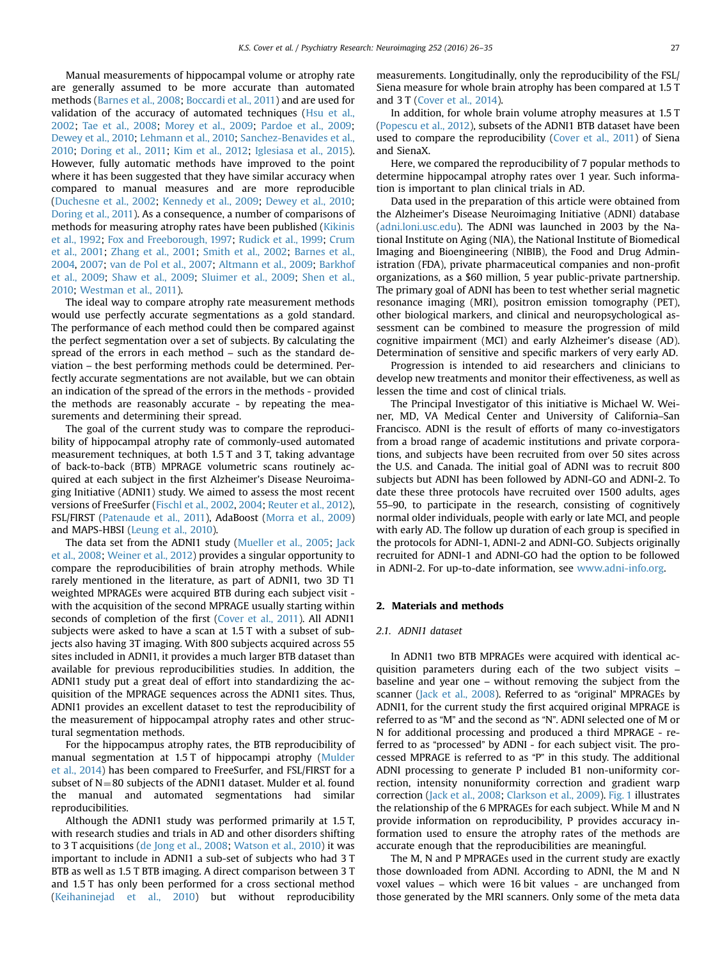Manual measurements of hippocampal volume or atrophy rate are generally assumed to be more accurate than automated methods ([Barnes et al., 2008](#page-7-0); [Boccardi et al., 2011](#page-7-0)) and are used for validation of the accuracy of automated techniques [\(Hsu et al.,](#page-8-0) [2002;](#page-8-0) [Tae et al., 2008;](#page-9-0) [Morey et al., 2009](#page-8-0); [Pardoe et al., 2009;](#page-8-0) [Dewey et al., 2010;](#page-8-0) [Lehmann et al., 2010;](#page-8-0) [Sanchez-Benavides et al.,](#page-8-0) [2010;](#page-8-0) [Doring et al., 2011;](#page-8-0) [Kim et al., 2012](#page-8-0); [Iglesiasa et al., 2015\)](#page-8-0). However, fully automatic methods have improved to the point where it has been suggested that they have similar accuracy when compared to manual measures and are more reproducible ([Duchesne et al., 2002;](#page-8-0) [Kennedy et al., 2009;](#page-8-0) [Dewey et al., 2010;](#page-8-0) [Doring et al., 2011](#page-8-0)). As a consequence, a number of comparisons of methods for measuring atrophy rates have been published ([Kikinis](#page-8-0) [et al., 1992;](#page-8-0) [Fox and Freeborough, 1997](#page-8-0); [Rudick et al., 1999](#page-8-0); [Crum](#page-8-0) [et al., 2001;](#page-8-0) [Zhang et al., 2001](#page-9-0); [Smith et al., 2002;](#page-9-0) [Barnes et al.,](#page-7-0) [2004,](#page-7-0) [2007;](#page-7-0) [van de Pol et al., 2007;](#page-9-0) [Altmann et al., 2009;](#page-7-0) [Barkhof](#page-7-0) [et al., 2009;](#page-7-0) [Shaw et al., 2009;](#page-8-0) [Sluimer et al., 2009;](#page-9-0) [Shen et al.,](#page-8-0) [2010;](#page-8-0) [Westman et al., 2011](#page-9-0)).

The ideal way to compare atrophy rate measurement methods would use perfectly accurate segmentations as a gold standard. The performance of each method could then be compared against the perfect segmentation over a set of subjects. By calculating the spread of the errors in each method – such as the standard deviation – the best performing methods could be determined. Perfectly accurate segmentations are not available, but we can obtain an indication of the spread of the errors in the methods - provided the methods are reasonably accurate - by repeating the measurements and determining their spread.

The goal of the current study was to compare the reproducibility of hippocampal atrophy rate of commonly-used automated measurement techniques, at both 1.5 T and 3 T, taking advantage of back-to-back (BTB) MPRAGE volumetric scans routinely acquired at each subject in the first Alzheimer's Disease Neuroimaging Initiative (ADNI1) study. We aimed to assess the most recent versions of FreeSurfer [\(Fischl et al., 2002,](#page-8-0) [2004;](#page-8-0) [Reuter et al., 2012\)](#page-8-0), FSL/FIRST ([Patenaude et al., 2011](#page-8-0)), AdaBoost [\(Morra et al., 2009\)](#page-8-0) and MAPS-HBSI ([Leung et al., 2010\)](#page-8-0).

The data set from the ADNI1 study ([Mueller et al., 2005;](#page-8-0) [Jack](#page-8-0) [et al., 2008;](#page-8-0) [Weiner et al., 2012](#page-9-0)) provides a singular opportunity to compare the reproducibilities of brain atrophy methods. While rarely mentioned in the literature, as part of ADNI1, two 3D T1 weighted MPRAGEs were acquired BTB during each subject visit with the acquisition of the second MPRAGE usually starting within seconds of completion of the first [\(Cover et al., 2011](#page-8-0)). All ADNI1 subjects were asked to have a scan at 1.5 T with a subset of subjects also having 3T imaging. With 800 subjects acquired across 55 sites included in ADNI1, it provides a much larger BTB dataset than available for previous reproducibilities studies. In addition, the ADNI1 study put a great deal of effort into standardizing the acquisition of the MPRAGE sequences across the ADNI1 sites. Thus, ADNI1 provides an excellent dataset to test the reproducibility of the measurement of hippocampal atrophy rates and other structural segmentation methods.

For the hippocampus atrophy rates, the BTB reproducibility of manual segmentation at 1.5 T of hippocampi atrophy ([Mulder](#page-8-0) [et al., 2014](#page-8-0)) has been compared to FreeSurfer, and FSL/FIRST for a subset of  $N=80$  subjects of the ADNI1 dataset. Mulder et al. found the manual and automated segmentations had similar reproducibilities.

Although the ADNI1 study was performed primarily at 1.5 T, with research studies and trials in AD and other disorders shifting to 3 T acquisitions [\(de Jong et al., 2008](#page-8-0); [Watson et al., 2010\)](#page-9-0) it was important to include in ADNI1 a sub-set of subjects who had 3 T BTB as well as 1.5 T BTB imaging. A direct comparison between 3 T and 1.5 T has only been performed for a cross sectional method ([Keihaninejad et al., 2010](#page-8-0)) but without reproducibility measurements. Longitudinally, only the reproducibility of the FSL/ Siena measure for whole brain atrophy has been compared at 1.5 T and 3 T ([Cover et al., 2014\)](#page-8-0).

In addition, for whole brain volume atrophy measures at 1.5 T ([Popescu et al., 2012\)](#page-8-0), subsets of the ADNI1 BTB dataset have been used to compare the reproducibility [\(Cover et al., 2011](#page-8-0)) of Siena and SienaX.

Here, we compared the reproducibility of 7 popular methods to determine hippocampal atrophy rates over 1 year. Such information is important to plan clinical trials in AD.

Data used in the preparation of this article were obtained from the Alzheimer's Disease Neuroimaging Initiative (ADNI) database ([adni.loni.usc.edu\)](http://adni.loni.usc.edu). The ADNI was launched in 2003 by the National Institute on Aging (NIA), the National Institute of Biomedical Imaging and Bioengineering (NIBIB), the Food and Drug Administration (FDA), private pharmaceutical companies and non-profit organizations, as a \$60 million, 5 year public-private partnership. The primary goal of ADNI has been to test whether serial magnetic resonance imaging (MRI), positron emission tomography (PET), other biological markers, and clinical and neuropsychological assessment can be combined to measure the progression of mild cognitive impairment (MCI) and early Alzheimer's disease (AD). Determination of sensitive and specific markers of very early AD.

Progression is intended to aid researchers and clinicians to develop new treatments and monitor their effectiveness, as well as lessen the time and cost of clinical trials.

The Principal Investigator of this initiative is Michael W. Weiner, MD, VA Medical Center and University of California–San Francisco. ADNI is the result of efforts of many co-investigators from a broad range of academic institutions and private corporations, and subjects have been recruited from over 50 sites across the U.S. and Canada. The initial goal of ADNI was to recruit 800 subjects but ADNI has been followed by ADNI-GO and ADNI-2. To date these three protocols have recruited over 1500 adults, ages 55–90, to participate in the research, consisting of cognitively normal older individuals, people with early or late MCI, and people with early AD. The follow up duration of each group is specified in the protocols for ADNI-1, ADNI-2 and ADNI-GO. Subjects originally recruited for ADNI-1 and ADNI-GO had the option to be followed in ADNI-2. For up-to-date information, see [www.adni-info.org](http://www.adni-info.org).

## 2. Materials and methods

#### 2.1. ADNI1 dataset

In ADNI1 two BTB MPRAGEs were acquired with identical acquisition parameters during each of the two subject visits – baseline and year one – without removing the subject from the scanner [\(Jack et al., 2008\)](#page-8-0). Referred to as "original" MPRAGEs by ADNI1, for the current study the first acquired original MPRAGE is referred to as "M" and the second as "N". ADNI selected one of M or N for additional processing and produced a third MPRAGE - referred to as "processed" by ADNI - for each subject visit. The processed MPRAGE is referred to as "P" in this study. The additional ADNI processing to generate P included B1 non-uniformity correction, intensity nonuniformity correction and gradient warp correction [\(Jack et al., 2008](#page-8-0); [Clarkson et al., 2009](#page-8-0)). [Fig. 1](#page-2-0) illustrates the relationship of the 6 MPRAGEs for each subject. While M and N provide information on reproducibility, P provides accuracy information used to ensure the atrophy rates of the methods are accurate enough that the reproducibilities are meaningful.

The M, N and P MPRAGEs used in the current study are exactly those downloaded from ADNI. According to ADNI, the M and N voxel values – which were 16 bit values - are unchanged from those generated by the MRI scanners. Only some of the meta data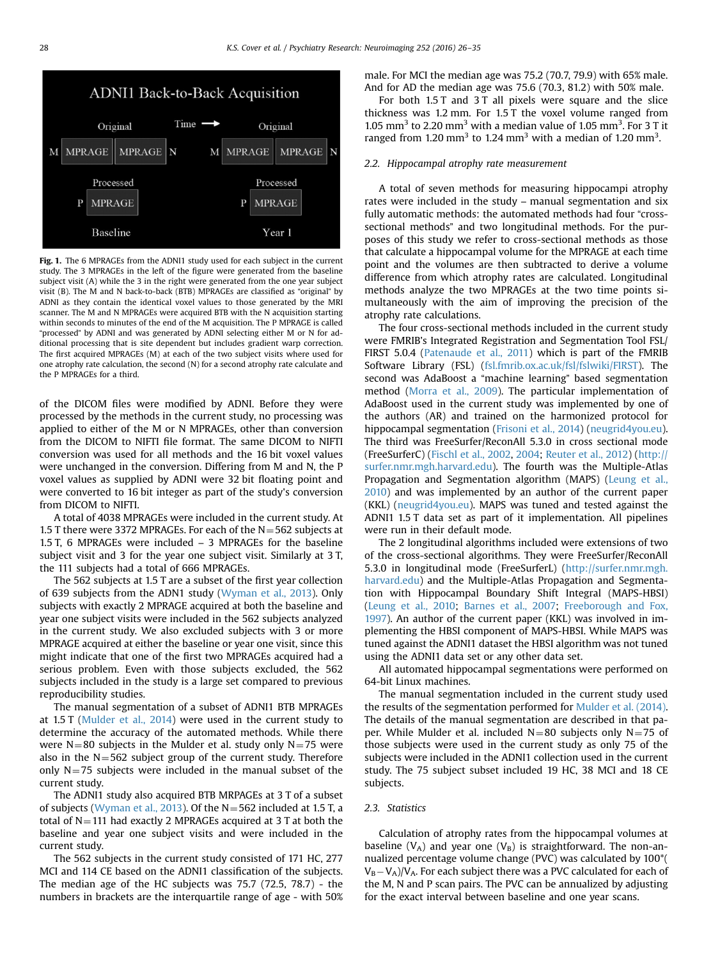<span id="page-2-0"></span>

Fig. 1. The 6 MPRAGEs from the ADNI1 study used for each subject in the current study. The 3 MPRAGEs in the left of the figure were generated from the baseline subject visit (A) while the 3 in the right were generated from the one year subject visit (B). The M and N back-to-back (BTB) MPRAGEs are classified as "original" by ADNI as they contain the identical voxel values to those generated by the MRI scanner. The M and N MPRAGEs were acquired BTB with the N acquisition starting within seconds to minutes of the end of the M acquisition. The P MPRAGE is called "processed" by ADNI and was generated by ADNI selecting either M or N for additional processing that is site dependent but includes gradient warp correction. The first acquired MPRAGEs (M) at each of the two subject visits where used for one atrophy rate calculation, the second (N) for a second atrophy rate calculate and the P MPRAGEs for a third.

of the DICOM files were modified by ADNI. Before they were processed by the methods in the current study, no processing was applied to either of the M or N MPRAGEs, other than conversion from the DICOM to NIFTI file format. The same DICOM to NIFTI conversion was used for all methods and the 16 bit voxel values were unchanged in the conversion. Differing from M and N, the P voxel values as supplied by ADNI were 32 bit floating point and were converted to 16 bit integer as part of the study's conversion from DICOM to NIFTI.

A total of 4038 MPRAGEs were included in the current study. At 1.5 T there were 3372 MPRAGEs. For each of the  $N=562$  subjects at 1.5 T, 6 MPRAGEs were included – 3 MPRAGEs for the baseline subject visit and 3 for the year one subject visit. Similarly at 3 T, the 111 subjects had a total of 666 MPRAGEs.

The 562 subjects at 1.5 T are a subset of the first year collection of 639 subjects from the ADN1 study ([Wyman et al., 2013](#page-9-0)). Only subjects with exactly 2 MPRAGE acquired at both the baseline and year one subject visits were included in the 562 subjects analyzed in the current study. We also excluded subjects with 3 or more MPRAGE acquired at either the baseline or year one visit, since this might indicate that one of the first two MPRAGEs acquired had a serious problem. Even with those subjects excluded, the 562 subjects included in the study is a large set compared to previous reproducibility studies.

The manual segmentation of a subset of ADNI1 BTB MPRAGEs at 1.5 T ([Mulder et al., 2014](#page-8-0)) were used in the current study to determine the accuracy of the automated methods. While there were  $N=80$  subjects in the Mulder et al. study only  $N=75$  were also in the  $N=562$  subject group of the current study. Therefore only  $N=75$  subjects were included in the manual subset of the current study.

The ADNI1 study also acquired BTB MRPAGEs at 3 T of a subset of subjects [\(Wyman et al., 2013\)](#page-9-0). Of the  $N=562$  included at 1.5 T, a total of  $N=111$  had exactly 2 MPRAGEs acquired at 3 T at both the baseline and year one subject visits and were included in the current study.

The 562 subjects in the current study consisted of 171 HC, 277 MCI and 114 CE based on the ADNI1 classification of the subjects. The median age of the HC subjects was 75.7 (72.5, 78.7) - the numbers in brackets are the interquartile range of age - with 50% male. For MCI the median age was 75.2 (70.7, 79.9) with 65% male. And for AD the median age was 75.6 (70.3, 81.2) with 50% male.

For both 1.5 T and 3 T all pixels were square and the slice thickness was 1.2 mm. For 1.5 T the voxel volume ranged from 1.05 mm<sup>3</sup> to 2.20 mm<sup>3</sup> with a median value of 1.05 mm<sup>3</sup>. For 3 T it ranged from 1.20 mm<sup>3</sup> to 1.24 mm<sup>3</sup> with a median of 1.20 mm<sup>3</sup>.

#### 2.2. Hippocampal atrophy rate measurement

A total of seven methods for measuring hippocampi atrophy rates were included in the study – manual segmentation and six fully automatic methods: the automated methods had four "crosssectional methods" and two longitudinal methods. For the purposes of this study we refer to cross-sectional methods as those that calculate a hippocampal volume for the MPRAGE at each time point and the volumes are then subtracted to derive a volume difference from which atrophy rates are calculated. Longitudinal methods analyze the two MPRAGEs at the two time points simultaneously with the aim of improving the precision of the atrophy rate calculations.

The four cross-sectional methods included in the current study were FMRIB's Integrated Registration and Segmentation Tool FSL/ FIRST 5.0.4 ([Patenaude et al., 2011\)](#page-8-0) which is part of the FMRIB Software Library (FSL) [\(fsl.fmrib.ox.ac.uk/fsl/fslwiki/FIRST\)](http://fsl.fmrib.ox.ac.uk/fsl/fslwiki/FIRST). The second was AdaBoost a "machine learning" based segmentation method ([Morra et al., 2009\)](#page-8-0). The particular implementation of AdaBoost used in the current study was implemented by one of the authors (AR) and trained on the harmonized protocol for hippocampal segmentation ([Frisoni et al., 2014\)](#page-8-0) ([neugrid4you.eu\)](http://neugrid4you.eu). The third was FreeSurfer/ReconAll 5.3.0 in cross sectional mode (FreeSurferC) ([Fischl et al., 2002,](#page-8-0) [2004](#page-8-0); [Reuter et al., 2012\)](#page-8-0) [\(http://](http://surfer.nmr.mgh.harvard.edu) [surfer.nmr.mgh.harvard.edu](http://surfer.nmr.mgh.harvard.edu)). The fourth was the Multiple-Atlas Propagation and Segmentation algorithm (MAPS) ([Leung et al.,](#page-8-0) [2010\)](#page-8-0) and was implemented by an author of the current paper (KKL) ([neugrid4you.eu](http://neugrid4you.eu)). MAPS was tuned and tested against the ADNI1 1.5 T data set as part of it implementation. All pipelines were run in their default mode.

The 2 longitudinal algorithms included were extensions of two of the cross-sectional algorithms. They were FreeSurfer/ReconAll 5.3.0 in longitudinal mode (FreeSurferL) [\(http://surfer.nmr.mgh.](http://surfer.nmr.mgh.harvard.edu) [harvard.edu](http://surfer.nmr.mgh.harvard.edu)) and the Multiple-Atlas Propagation and Segmentation with Hippocampal Boundary Shift Integral (MAPS-HBSI) ([Leung et al., 2010;](#page-8-0) [Barnes et al., 2007;](#page-7-0) [Freeborough and Fox,](#page-8-0) [1997\)](#page-8-0). An author of the current paper (KKL) was involved in implementing the HBSI component of MAPS-HBSI. While MAPS was tuned against the ADNI1 dataset the HBSI algorithm was not tuned using the ADNI1 data set or any other data set.

All automated hippocampal segmentations were performed on 64-bit Linux machines.

The manual segmentation included in the current study used the results of the segmentation performed for [Mulder et al. \(2014\).](#page-8-0) The details of the manual segmentation are described in that paper. While Mulder et al. included  $N=80$  subjects only N=75 of those subjects were used in the current study as only 75 of the subjects were included in the ADNI1 collection used in the current study. The 75 subject subset included 19 HC, 38 MCI and 18 CE subjects.

#### 2.3. Statistics

Calculation of atrophy rates from the hippocampal volumes at baseline  $(V_A)$  and year one  $(V_B)$  is straightforward. The non-annualized percentage volume change (PVC) was calculated by 100\*(  $V_B-V_A$ )/ $V_A$ . For each subject there was a PVC calculated for each of the M, N and P scan pairs. The PVC can be annualized by adjusting for the exact interval between baseline and one year scans.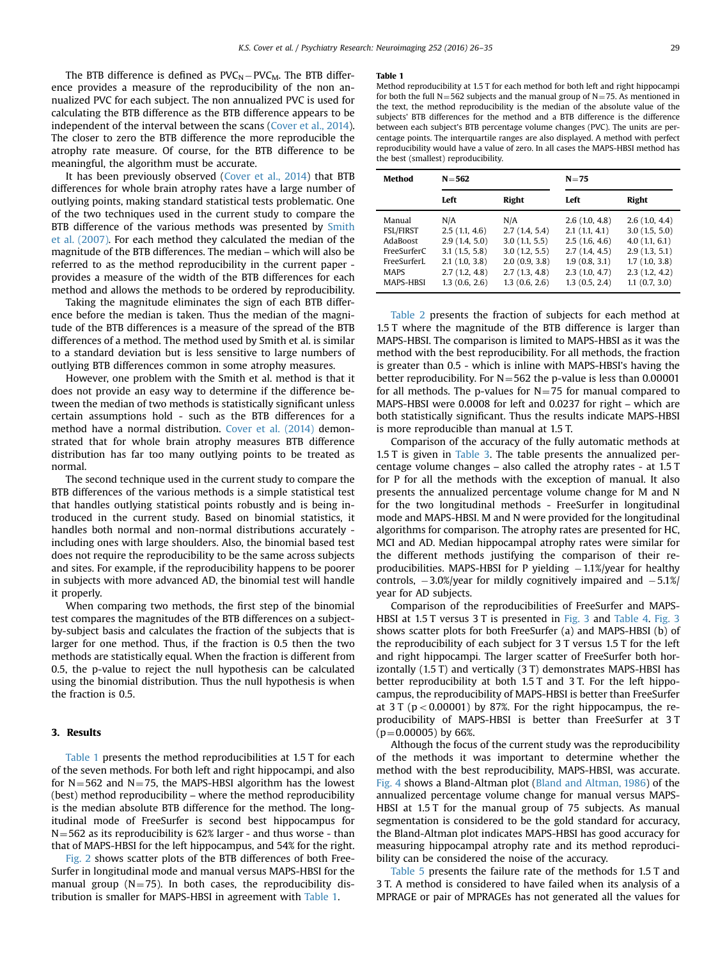<span id="page-3-0"></span>The BTB difference is defined as  $PVC_N-PVC_M$ . The BTB difference provides a measure of the reproducibility of the non annualized PVC for each subject. The non annualized PVC is used for calculating the BTB difference as the BTB difference appears to be independent of the interval between the scans [\(Cover et al., 2014\)](#page-8-0). The closer to zero the BTB difference the more reproducible the atrophy rate measure. Of course, for the BTB difference to be meaningful, the algorithm must be accurate.

It has been previously observed ([Cover et al., 2014\)](#page-8-0) that BTB differences for whole brain atrophy rates have a large number of outlying points, making standard statistical tests problematic. One of the two techniques used in the current study to compare the BTB difference of the various methods was presented by [Smith](#page-9-0) [et al. \(2007\).](#page-9-0) For each method they calculated the median of the magnitude of the BTB differences. The median – which will also be referred to as the method reproducibility in the current paper provides a measure of the width of the BTB differences for each method and allows the methods to be ordered by reproducibility.

Taking the magnitude eliminates the sign of each BTB difference before the median is taken. Thus the median of the magnitude of the BTB differences is a measure of the spread of the BTB differences of a method. The method used by Smith et al. is similar to a standard deviation but is less sensitive to large numbers of outlying BTB differences common in some atrophy measures.

However, one problem with the Smith et al. method is that it does not provide an easy way to determine if the difference between the median of two methods is statistically significant unless certain assumptions hold - such as the BTB differences for a method have a normal distribution. [Cover et al. \(2014\)](#page-8-0) demonstrated that for whole brain atrophy measures BTB difference distribution has far too many outlying points to be treated as normal.

The second technique used in the current study to compare the BTB differences of the various methods is a simple statistical test that handles outlying statistical points robustly and is being introduced in the current study. Based on binomial statistics, it handles both normal and non-normal distributions accurately including ones with large shoulders. Also, the binomial based test does not require the reproducibility to be the same across subjects and sites. For example, if the reproducibility happens to be poorer in subjects with more advanced AD, the binomial test will handle it properly.

When comparing two methods, the first step of the binomial test compares the magnitudes of the BTB differences on a subjectby-subject basis and calculates the fraction of the subjects that is larger for one method. Thus, if the fraction is 0.5 then the two methods are statistically equal. When the fraction is different from 0.5, the p-value to reject the null hypothesis can be calculated using the binomial distribution. Thus the null hypothesis is when the fraction is 0.5.

## 3. Results

Table 1 presents the method reproducibilities at 1.5 T for each of the seven methods. For both left and right hippocampi, and also for  $N=562$  and  $N=75$ , the MAPS-HBSI algorithm has the lowest (best) method reproducibility – where the method reproducibility is the median absolute BTB difference for the method. The longitudinal mode of FreeSurfer is second best hippocampus for  $N=562$  as its reproducibility is 62% larger - and thus worse - than that of MAPS-HBSI for the left hippocampus, and 54% for the right.

[Fig. 2](#page-4-0) shows scatter plots of the BTB differences of both Free-Surfer in longitudinal mode and manual versus MAPS-HBSI for the manual group ( $N=75$ ). In both cases, the reproducibility distribution is smaller for MAPS-HBSI in agreement with Table 1.

#### Table 1

Method reproducibility at 1.5 T for each method for both left and right hippocampi for both the full  $N=562$  subjects and the manual group of  $N=75$ . As mentioned in the text, the method reproducibility is the median of the absolute value of the subjects' BTB differences for the method and a BTB difference is the difference between each subject's BTB percentage volume changes (PVC). The units are percentage points. The interquartile ranges are also displayed. A method with perfect reproducibility would have a value of zero. In all cases the MAPS-HBSI method has the best (smallest) reproducibility.

| Method                                                                                                         | $N = 562$                                                                                                 |                                                                                                           | $N = 75$                                                                                                            |                                                                                                                     |  |
|----------------------------------------------------------------------------------------------------------------|-----------------------------------------------------------------------------------------------------------|-----------------------------------------------------------------------------------------------------------|---------------------------------------------------------------------------------------------------------------------|---------------------------------------------------------------------------------------------------------------------|--|
|                                                                                                                | Left                                                                                                      | Right                                                                                                     | Left                                                                                                                | Right                                                                                                               |  |
| Manual<br><b>FSL/FIRST</b><br>AdaBoost<br><b>FreeSurferC</b><br>FreeSurferL<br><b>MAPS</b><br><b>MAPS-HBSI</b> | N/A<br>2.5(1.1, 4.6)<br>2.9(1.4, 5.0)<br>3.1(1.5, 5.8)<br>2.1(1.0, 3.8)<br>2.7(1.2, 4.8)<br>1.3(0.6, 2.6) | N/A<br>2.7(1.4, 5.4)<br>3.0(1.1, 5.5)<br>3.0(1.2, 5.5)<br>2.0(0.9, 3.8)<br>2.7(1.3, 4.8)<br>1.3(0.6, 2.6) | 2.6(1.0, 4.8)<br>2.1(1.1, 4.1)<br>2.5(1.6, 4.6)<br>2.7(1.4, 4.5)<br>1.9(0.8, 3.1)<br>2.3(1.0, 4.7)<br>1.3(0.5, 2.4) | 2.6(1.0, 4.4)<br>3.0(1.5, 5.0)<br>4.0(1.1, 6.1)<br>2.9(1.3, 5.1)<br>1.7(1.0, 3.8)<br>2.3(1.2, 4.2)<br>1.1(0.7, 3.0) |  |

[Table 2](#page-4-0) presents the fraction of subjects for each method at 1.5 T where the magnitude of the BTB difference is larger than MAPS-HBSI. The comparison is limited to MAPS-HBSI as it was the method with the best reproducibility. For all methods, the fraction is greater than 0.5 - which is inline with MAPS-HBSI's having the better reproducibility. For  $N=562$  the p-value is less than 0.00001 for all methods. The p-values for  $N=75$  for manual compared to MAPS-HBSI were 0.0008 for left and 0.0237 for right – which are both statistically significant. Thus the results indicate MAPS-HBSI is more reproducible than manual at 1.5 T.

Comparison of the accuracy of the fully automatic methods at 1.5 T is given in [Table 3](#page-4-0). The table presents the annualized percentage volume changes – also called the atrophy rates - at 1.5 T for P for all the methods with the exception of manual. It also presents the annualized percentage volume change for M and N for the two longitudinal methods - FreeSurfer in longitudinal mode and MAPS-HBSI. M and N were provided for the longitudinal algorithms for comparison. The atrophy rates are presented for HC, MCI and AD. Median hippocampal atrophy rates were similar for the different methods justifying the comparison of their reproducibilities. MAPS-HBSI for P yielding  $-1.1\%$ /year for healthy controls,  $-3.0\%$ /year for mildly cognitively impaired and  $-5.1\%$ year for AD subjects.

Comparison of the reproducibilities of FreeSurfer and MAPS-HBSI at 1.5 T versus 3 T is presented in [Fig. 3](#page-5-0) and [Table 4](#page-5-0). [Fig. 3](#page-5-0) shows scatter plots for both FreeSurfer (a) and MAPS-HBSI (b) of the reproducibility of each subject for 3 T versus 1.5 T for the left and right hippocampi. The larger scatter of FreeSurfer both horizontally (1.5 T) and vertically (3 T) demonstrates MAPS-HBSI has better reproducibility at both 1.5 T and 3 T. For the left hippocampus, the reproducibility of MAPS-HBSI is better than FreeSurfer at 3 T ( $p < 0.00001$ ) by 87%. For the right hippocampus, the reproducibility of MAPS-HBSI is better than FreeSurfer at 3 T  $(p=0.00005)$  by 66%.

Although the focus of the current study was the reproducibility of the methods it was important to determine whether the method with the best reproducibility, MAPS-HBSI, was accurate. [Fig. 4](#page-6-0) shows a Bland-Altman plot [\(Bland and Altman, 1986\)](#page-7-0) of the annualized percentage volume change for manual versus MAPS-HBSI at 1.5 T for the manual group of 75 subjects. As manual segmentation is considered to be the gold standard for accuracy, the Bland-Altman plot indicates MAPS-HBSI has good accuracy for measuring hippocampal atrophy rate and its method reproducibility can be considered the noise of the accuracy.

[Table 5](#page-6-0) presents the failure rate of the methods for 1.5 T and 3 T. A method is considered to have failed when its analysis of a MPRAGE or pair of MPRAGEs has not generated all the values for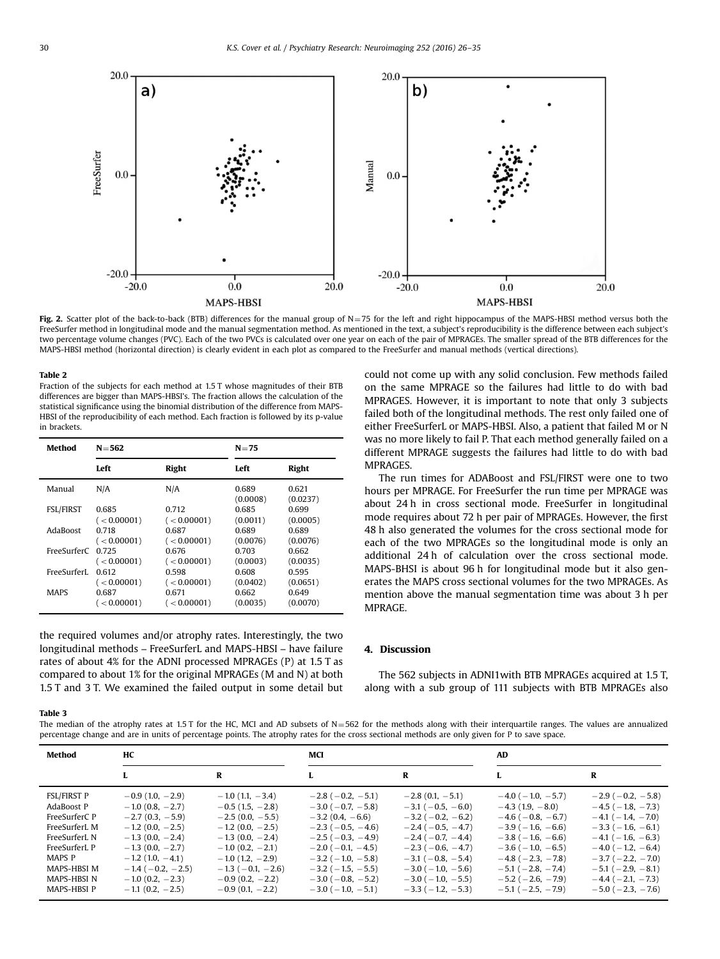<span id="page-4-0"></span>

Fig. 2. Scatter plot of the back-to-back (BTB) differences for the manual group of N=75 for the left and right hippocampus of the MAPS-HBSI method versus both the FreeSurfer method in longitudinal mode and the manual segmentation method. As mentioned in the text, a subject's reproducibility is the difference between each subject's two percentage volume changes (PVC). Each of the two PVCs is calculated over one year on each of the pair of MPRAGEs. The smaller spread of the BTB differences for the MAPS-HBSI method (horizontal direction) is clearly evident in each plot as compared to the FreeSurfer and manual methods (vertical directions).

#### Table 2

Fraction of the subjects for each method at 1.5 T whose magnitudes of their BTB differences are bigger than MAPS-HBSI's. The fraction allows the calculation of the statistical significance using the binomial distribution of the difference from MAPS-HBSI of the reproducibility of each method. Each fraction is followed by its p-value in brackets.

| Method           | $N = 562$    |              | $N = 75$          |                   |
|------------------|--------------|--------------|-------------------|-------------------|
|                  | Left         | Right        | Left              | Right             |
| Manual           | N/A          | N/A          | 0.689<br>(0.0008) | 0.621<br>(0.0237) |
| <b>FSL/FIRST</b> | 0.685        | 0.712        | 0.685             | 0.699             |
|                  | ( < 0.00001) | (< 0.00001)  | (0.0011)          | (0.0005)          |
| AdaBoost         | 0.718        | 0.687        | 0.689             | 0.689             |
|                  | ( < 0.00001) | (< 0.00001)  | (0.0076)          | (0.0076)          |
| FreeSurferC      | 0.725        | 0.676        | 0.703             | 0.662             |
|                  | ( < 0.00001) | (< 0.00001)  | (0.0003)          | (0.0035)          |
| FreeSurferL      | 0.612        | 0.598        | 0.608             | 0.595             |
| <b>MAPS</b>      | ( < 0.00001) | (< 0.00001)  | (0.0402)          | (0.0651)          |
|                  | 0.687        | 0.671        | 0.662             | 0.649             |
|                  | ( < 0.00001) | ( < 0.00001) | (0.0035)          | (0.0070)          |

the required volumes and/or atrophy rates. Interestingly, the two longitudinal methods – FreeSurferL and MAPS-HBSI – have failure rates of about 4% for the ADNI processed MPRAGEs (P) at 1.5 T as compared to about 1% for the original MPRAGEs (M and N) at both 1.5 T and 3 T. We examined the failed output in some detail but could not come up with any solid conclusion. Few methods failed on the same MPRAGE so the failures had little to do with bad MPRAGES. However, it is important to note that only 3 subjects failed both of the longitudinal methods. The rest only failed one of either FreeSurferL or MAPS-HBSI. Also, a patient that failed M or N was no more likely to fail P. That each method generally failed on a different MPRAGE suggests the failures had little to do with bad MPRAGES.

The run times for ADABoost and FSL/FIRST were one to two hours per MPRAGE. For FreeSurfer the run time per MPRAGE was about 24 h in cross sectional mode. FreeSurfer in longitudinal mode requires about 72 h per pair of MPRAGEs. However, the first 48 h also generated the volumes for the cross sectional mode for each of the two MPRAGEs so the longitudinal mode is only an additional 24 h of calculation over the cross sectional mode. MAPS-BHSI is about 96 h for longitudinal mode but it also generates the MAPS cross sectional volumes for the two MPRAGEs. As mention above the manual segmentation time was about 3 h per MPRAGE.

## 4. Discussion

The 562 subjects in ADNI1with BTB MPRAGEs acquired at 1.5 T, along with a sub group of 111 subjects with BTB MPRAGEs also

## Table 3

The median of the atrophy rates at 1.5 T for the HC, MCI and AD subsets of  $N=562$  for the methods along with their interquartile ranges. The values are annualized percentage change and are in units of percentage points. The atrophy rates for the cross sectional methods are only given for P to save space.

| Method                                                                                                                                                                    | HC                                                                                                                                                                                                                                          | MCI                                                                                                                                                                                                                                         |                                                                                                                                                                                                                                                                                             |                                                                                                                                                                                                                                                                             | AD.                                                                                                                                                                                                                                                                                  |                                                                                                                                                                                                                                                                               |  |
|---------------------------------------------------------------------------------------------------------------------------------------------------------------------------|---------------------------------------------------------------------------------------------------------------------------------------------------------------------------------------------------------------------------------------------|---------------------------------------------------------------------------------------------------------------------------------------------------------------------------------------------------------------------------------------------|---------------------------------------------------------------------------------------------------------------------------------------------------------------------------------------------------------------------------------------------------------------------------------------------|-----------------------------------------------------------------------------------------------------------------------------------------------------------------------------------------------------------------------------------------------------------------------------|--------------------------------------------------------------------------------------------------------------------------------------------------------------------------------------------------------------------------------------------------------------------------------------|-------------------------------------------------------------------------------------------------------------------------------------------------------------------------------------------------------------------------------------------------------------------------------|--|
|                                                                                                                                                                           | L                                                                                                                                                                                                                                           | R                                                                                                                                                                                                                                           | L                                                                                                                                                                                                                                                                                           | R                                                                                                                                                                                                                                                                           | L                                                                                                                                                                                                                                                                                    | R                                                                                                                                                                                                                                                                             |  |
| <b>FSL/FIRST P</b><br>AdaBoost P<br>FreeSurferC P<br>FreeSurferL M<br>FreeSurferL N<br>FreeSurferL P<br>MAPS P<br><b>MAPS-HBSI M</b><br><b>MAPS-HBSI N</b><br>MAPS-HBSI P | $-0.9(1.0, -2.9)$<br>$-1.0$ (0.8, $-2.7$ )<br>$-2.7(0.3, -5.9)$<br>$-1.2(0.0, -2.5)$<br>$-1.3$ (0.0, $-2.4$ )<br>$-1.3(0.0, -2.7)$<br>$-1.2$ (1.0, $-4.1$ )<br>$-1.4$ ( $-0.2$ , $-2.5$ )<br>$-1.0$ (0.2, $-2.3$ )<br>$-1.1$ (0.2, $-2.5$ ) | $-1.0$ (1.1, $-3.4$ )<br>$-0.5(1.5, -2.8)$<br>$-2.5(0.0, -5.5)$<br>$-1.2(0.0, -2.5)$<br>$-1.3(0.0, -2.4)$<br>$-1.0$ (0.2, $-2.1$ )<br>$-1.0$ (1.2, $-2.9$ )<br>$-1.3$ ( $-0.1$ , $-2.6$ )<br>$-0.9$ (0.2, $-2.2$ )<br>$-0.9$ (0.1, $-2.2$ ) | $-2.8$ ( $-0.2$ , $-5.1$ )<br>$-3.0$ ( $-0.7$ , $-5.8$ )<br>$-3.2$ (0.4, $-6.6$ )<br>$-2.3(-0.5, -4.6)$<br>$-2.5$ ( $-0.3$ , $-4.9$ )<br>$-2.0$ ( $-0.1$ , $-4.5$ )<br>$-3.2$ ( $-1.0$ , $-5.8$ )<br>$-3.2$ ( $-1.5$ , $-5.5$ )<br>$-3.0$ ( $-0.8$ , $-5.2$ )<br>$-3.0$ ( $-1.0$ , $-5.1$ ) | $-2.8$ (0.1, $-5.1$ )<br>$-3.1$ ( $-0.5$ , $-6.0$ )<br>$-3.2$ ( $-0.2$ , $-6.2$ )<br>$-2.4(-0.5, -4.7)$<br>$-2.4(-0.7, -4.4)$<br>$-2.3$ ( $-0.6$ , $-4.7$ )<br>$-3.1$ ( $-0.8$ , $-5.4$ )<br>$-3.0$ ( $-1.0$ , $-5.6$ )<br>$-3.0$ ( $-1.0$ , $-5.5$ )<br>$-3.3(-1.2, -5.3)$ | $-4.0$ ( $-1.0$ , $-5.7$ )<br>$-4.3(1.9, -8.0)$<br>$-4.6$ ( $-0.8$ , $-6.7$ )<br>$-3.9(-1.6, -6.6)$<br>$-3.8$ ( $-1.6$ , $-6.6$ )<br>$-3.6$ ( $-1.0, -6.5$ )<br>$-4.8$ ( $-2.3$ , $-7.8$ )<br>$-5.1$ ( $-2.8$ , $-7.4$ )<br>$-5.2$ ( $-2.6$ , $-7.9$ )<br>$-5.1$ ( $-2.5$ , $-7.9$ ) | $-2.9(-0.2, -5.8)$<br>$-4.5$ ( $-1.8$ , $-7.3$ )<br>$-4.1$ ( $-1.4$ , $-7.0$ )<br>$-3.3(-1.6, -6.1)$<br>$-4.1$ ( $-1.6$ , $-6.3$ )<br>$-4.0$ ( $-1.2, -6.4$ )<br>$-3.7(-2.2, -7.0)$<br>$-5.1$ ( $-2.9$ , $-8.1$ )<br>$-4.4$ ( $-2.1$ , $-7.3$ )<br>$-5.0$ ( $-2.3$ , $-7.6$ ) |  |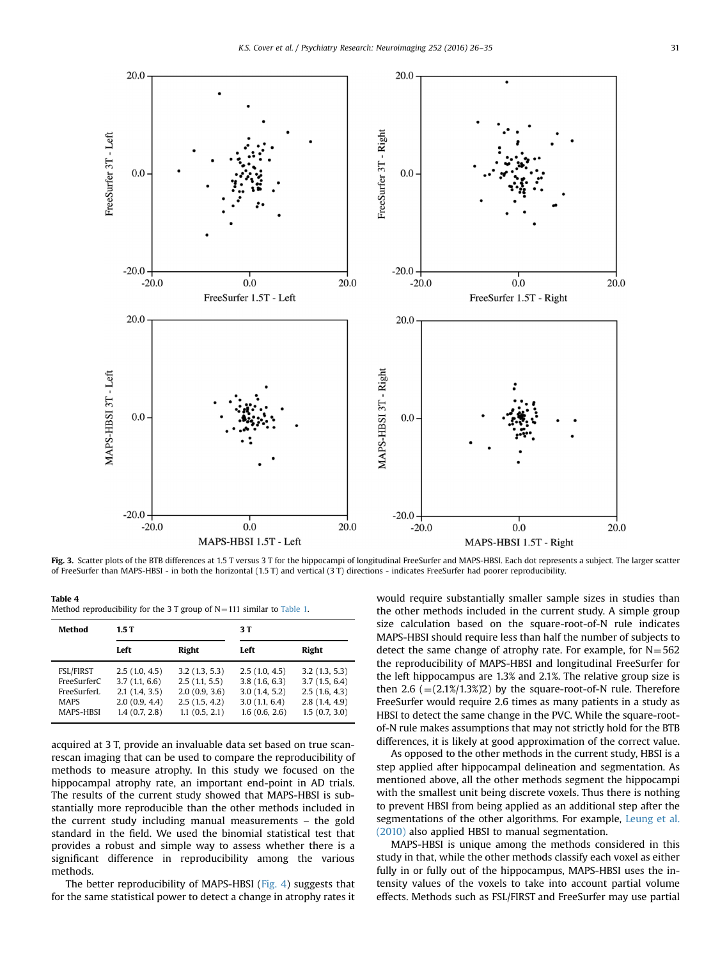<span id="page-5-0"></span>

Fig. 3. Scatter plots of the BTB differences at 1.5 T versus 3 T for the hippocampi of longitudinal FreeSurfer and MAPS-HBSI. Each dot represents a subject. The larger scatter of FreeSurfer than MAPS-HBSI - in both the horizontal (1.5 T) and vertical (3 T) directions - indicates FreeSurfer had poorer reproducibility.

Table 4 Method reproducibility for the 3 T group of  $N=111$  similar to [Table 1](#page-3-0).

| Method                                                                                   | 1.5T                                                                              |                                                                                   | 3 T                                                                               |                                                                                   |
|------------------------------------------------------------------------------------------|-----------------------------------------------------------------------------------|-----------------------------------------------------------------------------------|-----------------------------------------------------------------------------------|-----------------------------------------------------------------------------------|
|                                                                                          | Left                                                                              | Right                                                                             | Left                                                                              | Right                                                                             |
| <b>FSL/FIRST</b><br><b>FreeSurferC</b><br>FreeSurferL<br><b>MAPS</b><br><b>MAPS-HBSI</b> | 2.5(1.0, 4.5)<br>3.7(1.1, 6.6)<br>2.1(1.4, 3.5)<br>2.0(0.9, 4.4)<br>1.4(0.7, 2.8) | 3.2(1.3, 5.3)<br>2.5(1.1, 5.5)<br>2.0(0.9, 3.6)<br>2.5(1.5, 4.2)<br>1.1(0.5, 2.1) | 2.5(1.0, 4.5)<br>3.8(1.6, 6.3)<br>3.0(1.4, 5.2)<br>3.0(1.1, 6.4)<br>1.6(0.6, 2.6) | 3.2(1.3, 5.3)<br>3.7(1.5, 6.4)<br>2.5(1.6, 4.3)<br>2.8(1.4, 4.9)<br>1.5(0.7, 3.0) |

acquired at 3 T, provide an invaluable data set based on true scanrescan imaging that can be used to compare the reproducibility of methods to measure atrophy. In this study we focused on the hippocampal atrophy rate, an important end-point in AD trials. The results of the current study showed that MAPS-HBSI is substantially more reproducible than the other methods included in the current study including manual measurements – the gold standard in the field. We used the binomial statistical test that provides a robust and simple way to assess whether there is a significant difference in reproducibility among the various methods.

The better reproducibility of MAPS-HBSI [\(Fig. 4](#page-6-0)) suggests that for the same statistical power to detect a change in atrophy rates it

would require substantially smaller sample sizes in studies than the other methods included in the current study. A simple group size calculation based on the square-root-of-N rule indicates MAPS-HBSI should require less than half the number of subjects to detect the same change of atrophy rate. For example, for  $N=562$ the reproducibility of MAPS-HBSI and longitudinal FreeSurfer for the left hippocampus are 1.3% and 2.1%. The relative group size is then 2.6 ( $=(2.1\%/1.3\%)$ ) by the square-root-of-N rule. Therefore FreeSurfer would require 2.6 times as many patients in a study as HBSI to detect the same change in the PVC. While the square-rootof-N rule makes assumptions that may not strictly hold for the BTB differences, it is likely at good approximation of the correct value.

As opposed to the other methods in the current study, HBSI is a step applied after hippocampal delineation and segmentation. As mentioned above, all the other methods segment the hippocampi with the smallest unit being discrete voxels. Thus there is nothing to prevent HBSI from being applied as an additional step after the segmentations of the other algorithms. For example, [Leung et al.](#page-8-0) [\(2010\)](#page-8-0) also applied HBSI to manual segmentation.

MAPS-HBSI is unique among the methods considered in this study in that, while the other methods classify each voxel as either fully in or fully out of the hippocampus, MAPS-HBSI uses the intensity values of the voxels to take into account partial volume effects. Methods such as FSL/FIRST and FreeSurfer may use partial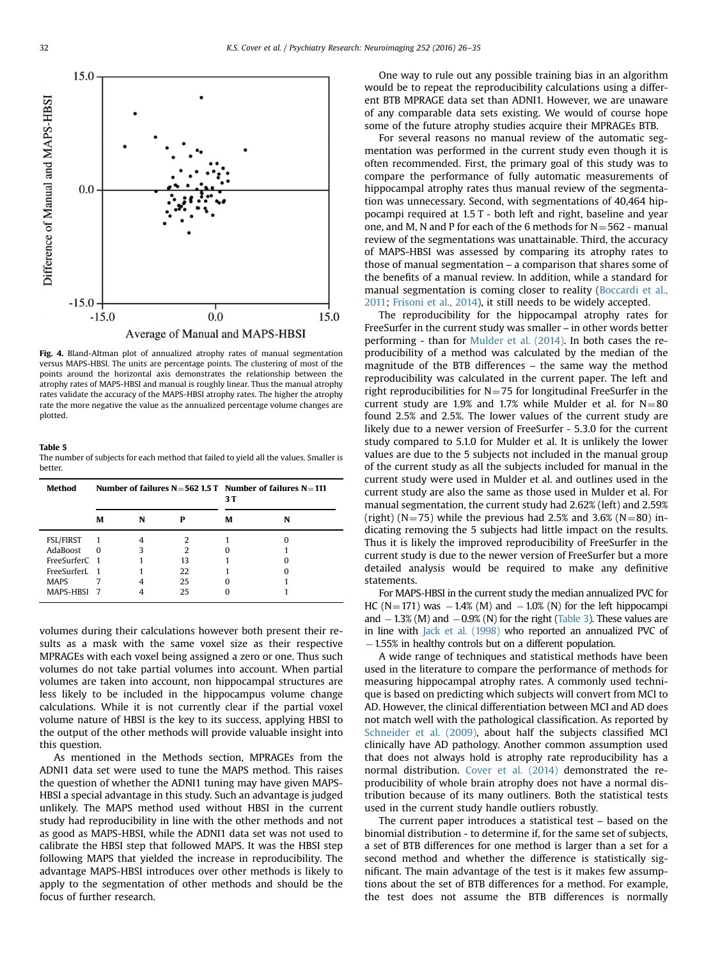<span id="page-6-0"></span>

Fig. 4. Bland-Altman plot of annualized atrophy rates of manual segmentation versus MAPS-HBSI. The units are percentage points. The clustering of most of the points around the horizontal axis demonstrates the relationship between the atrophy rates of MAPS-HBSI and manual is roughly linear. Thus the manual atrophy rates validate the accuracy of the MAPS-HBSI atrophy rates. The higher the atrophy rate the more negative the value as the annualized percentage volume changes are plotted.

#### Table 5

The number of subjects for each method that failed to yield all the values. Smaller is better.

| Method           | Number of failures $N = 562$ 1.5 T Number of failures $N = 111$ |   |    | 3 T |   |
|------------------|-----------------------------------------------------------------|---|----|-----|---|
|                  | М                                                               | N |    | М   | N |
| <b>FSL/FIRST</b> | $\overline{\phantom{0}}$                                        | 4 | 2  |     | 0 |
| AdaBoost         | $\overline{0}$                                                  | 3 |    |     |   |
| FreeSurferC 1    |                                                                 |   | 13 |     |   |
| FreeSurferL 1    |                                                                 |   | 22 |     |   |
| <b>MAPS</b>      | 7                                                               |   | 25 |     |   |
| MAPS-HBSI 7      |                                                                 |   | 25 |     |   |

volumes during their calculations however both present their results as a mask with the same voxel size as their respective MPRAGEs with each voxel being assigned a zero or one. Thus such volumes do not take partial volumes into account. When partial volumes are taken into account, non hippocampal structures are less likely to be included in the hippocampus volume change calculations. While it is not currently clear if the partial voxel volume nature of HBSI is the key to its success, applying HBSI to the output of the other methods will provide valuable insight into this question.

As mentioned in the Methods section, MPRAGEs from the ADNI1 data set were used to tune the MAPS method. This raises the question of whether the ADNI1 tuning may have given MAPS-HBSI a special advantage in this study. Such an advantage is judged unlikely. The MAPS method used without HBSI in the current study had reproducibility in line with the other methods and not as good as MAPS-HBSI, while the ADNI1 data set was not used to calibrate the HBSI step that followed MAPS. It was the HBSI step following MAPS that yielded the increase in reproducibility. The advantage MAPS-HBSI introduces over other methods is likely to apply to the segmentation of other methods and should be the focus of further research.

One way to rule out any possible training bias in an algorithm would be to repeat the reproducibility calculations using a different BTB MPRAGE data set than ADNI1. However, we are unaware of any comparable data sets existing. We would of course hope some of the future atrophy studies acquire their MPRAGEs BTB.

For several reasons no manual review of the automatic segmentation was performed in the current study even though it is often recommended. First, the primary goal of this study was to compare the performance of fully automatic measurements of hippocampal atrophy rates thus manual review of the segmentation was unnecessary. Second, with segmentations of 40,464 hippocampi required at 1.5 T - both left and right, baseline and year one, and M, N and P for each of the 6 methods for  $N = 562$  - manual review of the segmentations was unattainable. Third, the accuracy of MAPS-HBSI was assessed by comparing its atrophy rates to those of manual segmentation – a comparison that shares some of the benefits of a manual review. In addition, while a standard for manual segmentation is coming closer to reality [\(Boccardi et al.,](#page-7-0) [2011;](#page-7-0) [Frisoni et al., 2014](#page-8-0)), it still needs to be widely accepted.

The reproducibility for the hippocampal atrophy rates for FreeSurfer in the current study was smaller – in other words better performing - than for [Mulder et al. \(2014\).](#page-8-0) In both cases the reproducibility of a method was calculated by the median of the magnitude of the BTB differences – the same way the method reproducibility was calculated in the current paper. The left and right reproducibilities for  $N=75$  for longitudinal FreeSurfer in the current study are 1.9% and 1.7% while Mulder et al. for  $N=80$ found 2.5% and 2.5%. The lower values of the current study are likely due to a newer version of FreeSurfer - 5.3.0 for the current study compared to 5.1.0 for Mulder et al. It is unlikely the lower values are due to the 5 subjects not included in the manual group of the current study as all the subjects included for manual in the current study were used in Mulder et al. and outlines used in the current study are also the same as those used in Mulder et al. For manual segmentation, the current study had 2.62% (left) and 2.59% (right) ( $N=75$ ) while the previous had 2.5% and 3.6% ( $N=80$ ) indicating removing the 5 subjects had little impact on the results. Thus it is likely the improved reproducibility of FreeSurfer in the current study is due to the newer version of FreeSurfer but a more detailed analysis would be required to make any definitive statements.

For MAPS-HBSI in the current study the median annualized PVC for HC ( $N=171$ ) was  $-1.4\%$  (M) and  $-1.0\%$  (N) for the left hippocampi and  $-1.3\%$  (M) and  $-0.9\%$  (N) for the right ([Table 3](#page-4-0)). These values are in line with [Jack et al. \(1998\)](#page-8-0) who reported an annualized PVC of  $-1.55\%$  in healthy controls but on a different population.

A wide range of techniques and statistical methods have been used in the literature to compare the performance of methods for measuring hippocampal atrophy rates. A commonly used technique is based on predicting which subjects will convert from MCI to AD. However, the clinical differentiation between MCI and AD does not match well with the pathological classification. As reported by [Schneider et al. \(2009\)](#page-8-0), about half the subjects classified MCI clinically have AD pathology. Another common assumption used that does not always hold is atrophy rate reproducibility has a normal distribution. [Cover et al. \(2014\)](#page-8-0) demonstrated the reproducibility of whole brain atrophy does not have a normal distribution because of its many outliners. Both the statistical tests used in the current study handle outliers robustly.

The current paper introduces a statistical test – based on the binomial distribution - to determine if, for the same set of subjects, a set of BTB differences for one method is larger than a set for a second method and whether the difference is statistically significant. The main advantage of the test is it makes few assumptions about the set of BTB differences for a method. For example, the test does not assume the BTB differences is normally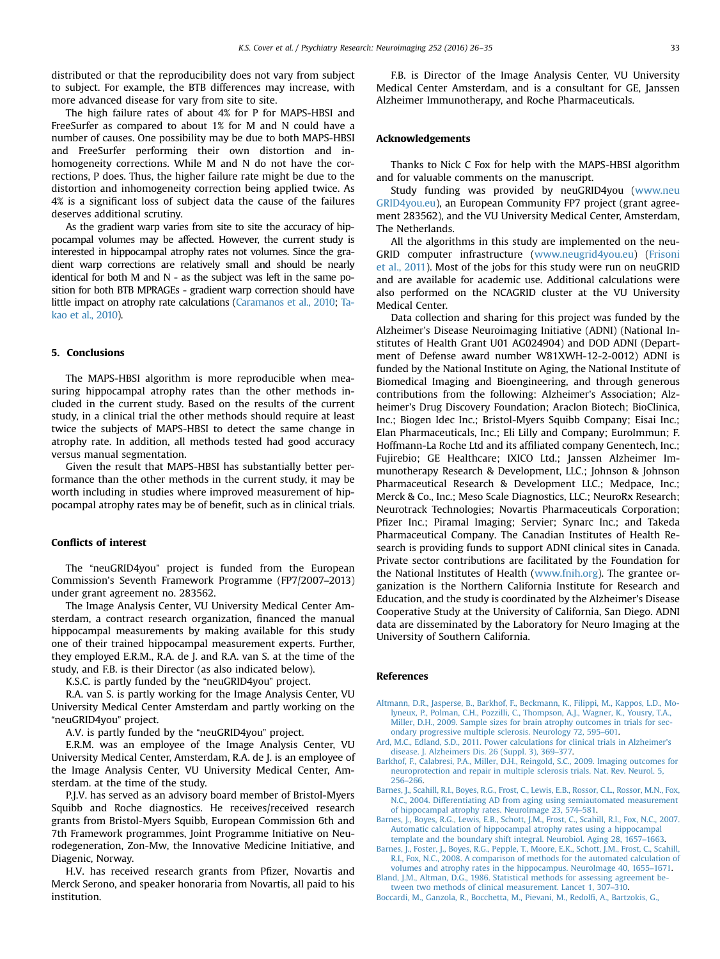<span id="page-7-0"></span>distributed or that the reproducibility does not vary from subject to subject. For example, the BTB differences may increase, with more advanced disease for vary from site to site.

The high failure rates of about 4% for P for MAPS-HBSI and FreeSurfer as compared to about 1% for M and N could have a number of causes. One possibility may be due to both MAPS-HBSI and FreeSurfer performing their own distortion and inhomogeneity corrections. While M and N do not have the corrections, P does. Thus, the higher failure rate might be due to the distortion and inhomogeneity correction being applied twice. As 4% is a significant loss of subject data the cause of the failures deserves additional scrutiny.

As the gradient warp varies from site to site the accuracy of hippocampal volumes may be affected. However, the current study is interested in hippocampal atrophy rates not volumes. Since the gradient warp corrections are relatively small and should be nearly identical for both M and N - as the subject was left in the same position for both BTB MPRAGEs - gradient warp correction should have little impact on atrophy rate calculations [\(Caramanos et al., 2010;](#page-8-0) [Ta](#page-9-0)[kao et al., 2010](#page-9-0)).

## 5. Conclusions

The MAPS-HBSI algorithm is more reproducible when measuring hippocampal atrophy rates than the other methods included in the current study. Based on the results of the current study, in a clinical trial the other methods should require at least twice the subjects of MAPS-HBSI to detect the same change in atrophy rate. In addition, all methods tested had good accuracy versus manual segmentation.

Given the result that MAPS-HBSI has substantially better performance than the other methods in the current study, it may be worth including in studies where improved measurement of hippocampal atrophy rates may be of benefit, such as in clinical trials.

#### Conflicts of interest

The "neuGRID4you" project is funded from the European Commission's Seventh Framework Programme (FP7/2007–2013) under grant agreement no. 283562.

The Image Analysis Center, VU University Medical Center Amsterdam, a contract research organization, financed the manual hippocampal measurements by making available for this study one of their trained hippocampal measurement experts. Further, they employed E.R.M., R.A. de J. and R.A. van S. at the time of the study, and F.B. is their Director (as also indicated below).

K.S.C. is partly funded by the "neuGRID4you" project.

R.A. van S. is partly working for the Image Analysis Center, VU University Medical Center Amsterdam and partly working on the "neuGRID4you" project.

A.V. is partly funded by the "neuGRID4you" project.

E.R.M. was an employee of the Image Analysis Center, VU University Medical Center, Amsterdam, R.A. de J. is an employee of the Image Analysis Center, VU University Medical Center, Amsterdam. at the time of the study.

P.J.V. has served as an advisory board member of Bristol-Myers Squibb and Roche diagnostics. He receives/received research grants from Bristol-Myers Squibb, European Commission 6th and 7th Framework programmes, Joint Programme Initiative on Neurodegeneration, Zon-Mw, the Innovative Medicine Initiative, and Diagenic, Norway.

H.V. has received research grants from Pfizer, Novartis and Merck Serono, and speaker honoraria from Novartis, all paid to his institution.

F.B. is Director of the Image Analysis Center, VU University Medical Center Amsterdam, and is a consultant for GE, Janssen Alzheimer Immunotherapy, and Roche Pharmaceuticals.

#### Acknowledgements

Thanks to Nick C Fox for help with the MAPS-HBSI algorithm and for valuable comments on the manuscript.

Study funding was provided by neuGRID4you ([www.neu](http://www.neuGRID4you.eu) [GRID4you.eu\)](http://www.neuGRID4you.eu), an European Community FP7 project (grant agreement 283562), and the VU University Medical Center, Amsterdam, The Netherlands.

All the algorithms in this study are implemented on the neu-GRID computer infrastructure [\(www.neugrid4you.eu](http://www.neugrid4you.eu)) [\(Frisoni](#page-8-0) [et al., 2011\)](#page-8-0). Most of the jobs for this study were run on neuGRID and are available for academic use. Additional calculations were also performed on the NCAGRID cluster at the VU University Medical Center.

Data collection and sharing for this project was funded by the Alzheimer's Disease Neuroimaging Initiative (ADNI) (National Institutes of Health Grant U01 AG024904) and DOD ADNI (Department of Defense award number W81XWH-12-2-0012) ADNI is funded by the National Institute on Aging, the National Institute of Biomedical Imaging and Bioengineering, and through generous contributions from the following: Alzheimer's Association; Alzheimer's Drug Discovery Foundation; Araclon Biotech; BioClinica, Inc.; Biogen Idec Inc.; Bristol-Myers Squibb Company; Eisai Inc.; Elan Pharmaceuticals, Inc.; Eli Lilly and Company; EuroImmun; F. Hoffmann-La Roche Ltd and its affiliated company Genentech, Inc.; Fujirebio; GE Healthcare; IXICO Ltd.; Janssen Alzheimer Immunotherapy Research & Development, LLC.; Johnson & Johnson Pharmaceutical Research & Development LLC.; Medpace, Inc.; Merck & Co., Inc.; Meso Scale Diagnostics, LLC.; NeuroRx Research; Neurotrack Technologies; Novartis Pharmaceuticals Corporation; Pfizer Inc.; Piramal Imaging; Servier; Synarc Inc.; and Takeda Pharmaceutical Company. The Canadian Institutes of Health Research is providing funds to support ADNI clinical sites in Canada. Private sector contributions are facilitated by the Foundation for the National Institutes of Health [\(www.fnih.org\)](http://www.fnih.org). The grantee organization is the Northern California Institute for Research and Education, and the study is coordinated by the Alzheimer's Disease Cooperative Study at the University of California, San Diego. ADNI data are disseminated by the Laboratory for Neuro Imaging at the University of Southern California.

#### References

- [Altmann, D.R., Jasperse, B., Barkhof, F., Beckmann, K., Filippi, M., Kappos, L.D., Mo](http://refhub.elsevier.com/S0925-4927(16)30096-8/sbref1)[lyneux, P., Polman, C.H., Pozzilli, C., Thompson, A.J., Wagner, K., Yousry, T.A.,](http://refhub.elsevier.com/S0925-4927(16)30096-8/sbref1) [Miller, D.H., 2009. Sample sizes for brain atrophy outcomes in trials for sec](http://refhub.elsevier.com/S0925-4927(16)30096-8/sbref1)[ondary progressive multiple sclerosis. Neurology 72, 595](http://refhub.elsevier.com/S0925-4927(16)30096-8/sbref1)–601.
- [Ard, M.C., Edland, S.D., 2011. Power calculations for clinical trials in Alzheimer's](http://refhub.elsevier.com/S0925-4927(16)30096-8/sbref2) [disease. J. Alzheimers Dis. 26 \(Suppl. 3\), 369](http://refhub.elsevier.com/S0925-4927(16)30096-8/sbref2)–377.
- [Barkhof, F., Calabresi, P.A., Miller, D.H., Reingold, S.C., 2009. Imaging outcomes for](http://refhub.elsevier.com/S0925-4927(16)30096-8/sbref3) [neuroprotection and repair in multiple sclerosis trials. Nat. Rev. Neurol. 5,](http://refhub.elsevier.com/S0925-4927(16)30096-8/sbref3) [256](http://refhub.elsevier.com/S0925-4927(16)30096-8/sbref3)–[266.](http://refhub.elsevier.com/S0925-4927(16)30096-8/sbref3)
- [Barnes, J., Scahill, R.I., Boyes, R.G., Frost, C., Lewis, E.B., Rossor, C.L., Rossor, M.N., Fox,](http://refhub.elsevier.com/S0925-4927(16)30096-8/sbref4) [N.C., 2004. Differentiating AD from aging using semiautomated measurement](http://refhub.elsevier.com/S0925-4927(16)30096-8/sbref4) [of hippocampal atrophy rates. NeuroImage 23, 574](http://refhub.elsevier.com/S0925-4927(16)30096-8/sbref4)–581.
- [Barnes, J., Boyes, R.G., Lewis, E.B., Schott, J.M., Frost, C., Scahill, R.I., Fox, N.C., 2007.](http://refhub.elsevier.com/S0925-4927(16)30096-8/sbref5) [Automatic calculation of hippocampal atrophy rates using a hippocampal](http://refhub.elsevier.com/S0925-4927(16)30096-8/sbref5) [template and the boundary shift integral. Neurobiol. Aging 28, 1657](http://refhub.elsevier.com/S0925-4927(16)30096-8/sbref5)–1663.

[Barnes, J., Foster, J., Boyes, R.G., Pepple, T., Moore, E.K., Schott, J.M., Frost, C., Scahill,](http://refhub.elsevier.com/S0925-4927(16)30096-8/sbref6) [R.I., Fox, N.C., 2008. A comparison of methods for the automated calculation of](http://refhub.elsevier.com/S0925-4927(16)30096-8/sbref6) [volumes and atrophy rates in the hippocampus. NeuroImage 40, 1655](http://refhub.elsevier.com/S0925-4927(16)30096-8/sbref6)–1671.

[Bland, J.M., Altman, D.G., 1986. Statistical methods for assessing agreement be](http://refhub.elsevier.com/S0925-4927(16)30096-8/sbref7)[tween two methods of clinical measurement. Lancet 1, 307](http://refhub.elsevier.com/S0925-4927(16)30096-8/sbref7)–310.

[Boccardi, M., Ganzola, R., Bocchetta, M., Pievani, M., Redol](http://refhub.elsevier.com/S0925-4927(16)30096-8/sbref8)fi, A., Bartzokis, G.,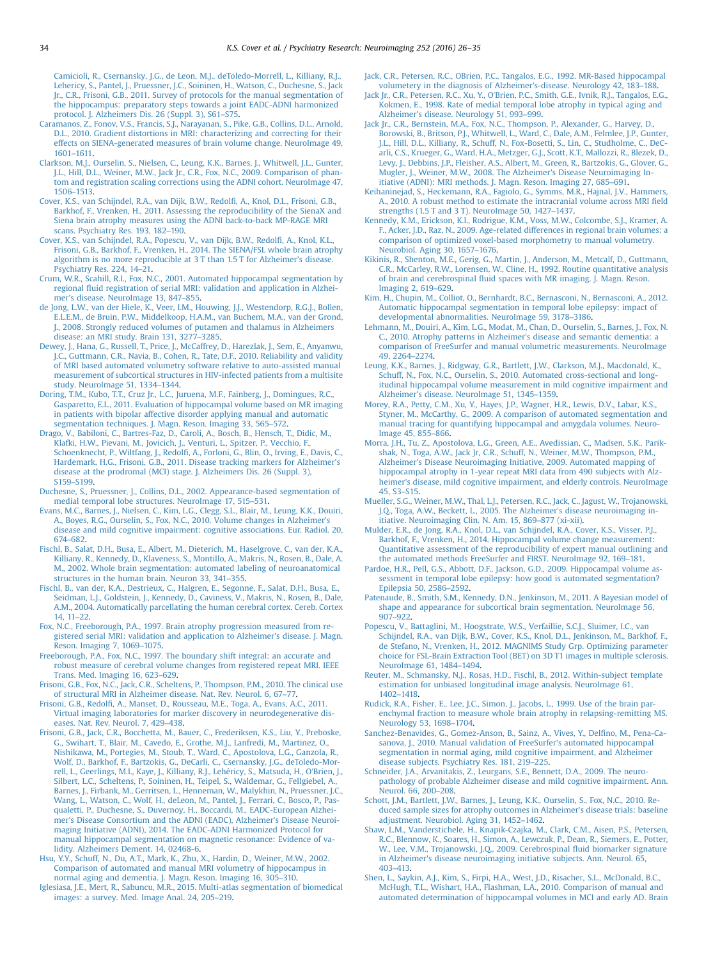<span id="page-8-0"></span>[Camicioli, R., Csernansky, J.G., de Leon, M.J., deToledo-Morrell, L., Killiany, R.J.,](http://refhub.elsevier.com/S0925-4927(16)30096-8/sbref8) [Lehericy, S., Pantel, J., Pruessner, J.C., Soininen, H., Watson, C., Duchesne, S., Jack](http://refhub.elsevier.com/S0925-4927(16)30096-8/sbref8) [Jr., C.R., Frisoni, G.B., 2011. Survey of protocols for the manual segmentation of](http://refhub.elsevier.com/S0925-4927(16)30096-8/sbref8) [the hippocampus: preparatory steps towards a joint EADC-ADNI harmonized](http://refhub.elsevier.com/S0925-4927(16)30096-8/sbref8) [protocol. J. Alzheimers Dis. 26 \(Suppl. 3\), S61](http://refhub.elsevier.com/S0925-4927(16)30096-8/sbref8)–S75.

- [Caramanos, Z., Fonov, V.S., Francis, S.J., Narayanan, S., Pike, G.B., Collins, D.L., Arnold,](http://refhub.elsevier.com/S0925-4927(16)30096-8/sbref9) [D.L., 2010. Gradient distortions in MRI: characterizing and correcting for their](http://refhub.elsevier.com/S0925-4927(16)30096-8/sbref9) [effects on SIENA-generated measures of brain volume change. NeuroImage 49,](http://refhub.elsevier.com/S0925-4927(16)30096-8/sbref9) [1601](http://refhub.elsevier.com/S0925-4927(16)30096-8/sbref9)–[1611.](http://refhub.elsevier.com/S0925-4927(16)30096-8/sbref9)
- [Clarkson, M.J., Ourselin, S., Nielsen, C., Leung, K.K., Barnes, J., Whitwell, J.L., Gunter,](http://refhub.elsevier.com/S0925-4927(16)30096-8/sbref10) [J.L., Hill, D.L., Weiner, M.W., Jack Jr., C.R., Fox, N.C., 2009. Comparison of phan](http://refhub.elsevier.com/S0925-4927(16)30096-8/sbref10)[tom and registration scaling corrections using the ADNI cohort. NeuroImage 47,](http://refhub.elsevier.com/S0925-4927(16)30096-8/sbref10) [1506](http://refhub.elsevier.com/S0925-4927(16)30096-8/sbref10)–[1513.](http://refhub.elsevier.com/S0925-4927(16)30096-8/sbref10)
- [Cover, K.S., van Schijndel, R.A., van Dijk, B.W., Redol](http://refhub.elsevier.com/S0925-4927(16)30096-8/sbref11)fi, A., Knol, D.L., Frisoni, G.B., [Barkhof, F., Vrenken, H., 2011. Assessing the reproducibility of the SienaX and](http://refhub.elsevier.com/S0925-4927(16)30096-8/sbref11) [Siena brain atrophy measures using the ADNI back-to-back MP-RAGE MRI](http://refhub.elsevier.com/S0925-4927(16)30096-8/sbref11) [scans. Psychiatry Res. 193, 182](http://refhub.elsevier.com/S0925-4927(16)30096-8/sbref11)–190.
- [Cover, K.S., van Schijndel, R.A., Popescu, V., van Dijk, B.W., Redol](http://refhub.elsevier.com/S0925-4927(16)30096-8/sbref12)fi, A., Knol, K.L., [Frisoni, G.B., Barkhof, F., Vrenken, H., 2014. The SIENA/FSL whole brain atrophy](http://refhub.elsevier.com/S0925-4927(16)30096-8/sbref12) [algorithm is no more reproducible at 3 T than 1.5 T for Alzheimer's disease.](http://refhub.elsevier.com/S0925-4927(16)30096-8/sbref12) [Psychiatry Res. 224, 14](http://refhub.elsevier.com/S0925-4927(16)30096-8/sbref12)–21.
- [Crum, W.R., Scahill, R.I., Fox, N.C., 2001. Automated hippocampal segmentation by](http://refhub.elsevier.com/S0925-4927(16)30096-8/sbref13) regional fl[uid registration of serial MRI: validation and application in Alzhei](http://refhub.elsevier.com/S0925-4927(16)30096-8/sbref13)[mer's disease. NeuroImage 13, 847](http://refhub.elsevier.com/S0925-4927(16)30096-8/sbref13)–855.
- [de Jong, L.W., van der Hiele, K., Veer, I.M., Houwing, J.J., Westendorp, R.G.J., Bollen,](http://refhub.elsevier.com/S0925-4927(16)30096-8/sbref14) [E.L.E.M., de Bruin, P.W., Middelkoop, H.A.M., van Buchem, M.A., van der Grond,](http://refhub.elsevier.com/S0925-4927(16)30096-8/sbref14) [J., 2008. Strongly reduced volumes of putamen and thalamus in Alzheimers](http://refhub.elsevier.com/S0925-4927(16)30096-8/sbref14) [disease: an MRI study. Brain 131, 3277](http://refhub.elsevier.com/S0925-4927(16)30096-8/sbref14)–3285.
- [Dewey, J., Hana, G., Russell, T., Price, J., McCaffrey, D., Harezlak, J., Sem, E., Anyanwu,](http://refhub.elsevier.com/S0925-4927(16)30096-8/sbref15) [J.C., Guttmann, C.R., Navia, B., Cohen, R., Tate, D.F., 2010. Reliability and validity](http://refhub.elsevier.com/S0925-4927(16)30096-8/sbref15) [of MRI based automated volumetry software relative to auto-assisted manual](http://refhub.elsevier.com/S0925-4927(16)30096-8/sbref15) [measurement of subcortical structures in HIV-infected patients from a multisite](http://refhub.elsevier.com/S0925-4927(16)30096-8/sbref15) [study. NeuroImage 51, 1334](http://refhub.elsevier.com/S0925-4927(16)30096-8/sbref15)–1344.
- [Doring, T.M., Kubo, T.T., Cruz Jr., L.C., Juruena, M.F., Fainberg, J., Domingues, R.C.,](http://refhub.elsevier.com/S0925-4927(16)30096-8/sbref16) [Gasparetto, E.L., 2011. Evaluation of hippocampal volume based on MR imaging](http://refhub.elsevier.com/S0925-4927(16)30096-8/sbref16) [in patients with bipolar affective disorder applying manual and automatic](http://refhub.elsevier.com/S0925-4927(16)30096-8/sbref16) [segmentation techniques. J. Magn. Reson. Imaging 33, 565](http://refhub.elsevier.com/S0925-4927(16)30096-8/sbref16)–572.
- [Drago, V., Babiloni, C., Bartres-Faz, D., Caroli, A., Bosch, B., Hensch, T., Didic, M.,](http://refhub.elsevier.com/S0925-4927(16)30096-8/sbref17) [Klafki, H.W., Pievani, M., Jovicich, J., Venturi, L., Spitzer, P., Vecchio, F.,](http://refhub.elsevier.com/S0925-4927(16)30096-8/sbref17) Schoenknecht, P., Wiltfang, J., Redolfi[, A., Forloni, G., Blin, O., Irving, E., Davis, C.,](http://refhub.elsevier.com/S0925-4927(16)30096-8/sbref17) [Hardemark, H.G., Frisoni, G.B., 2011. Disease tracking markers for Alzheimer's](http://refhub.elsevier.com/S0925-4927(16)30096-8/sbref17) [disease at the prodromal \(MCI\) stage. J. Alzheimers Dis. 26 \(Suppl. 3\),](http://refhub.elsevier.com/S0925-4927(16)30096-8/sbref17) [S159](http://refhub.elsevier.com/S0925-4927(16)30096-8/sbref17)–[S199.](http://refhub.elsevier.com/S0925-4927(16)30096-8/sbref17)
- [Duchesne, S., Pruessner, J., Collins, D.L., 2002. Appearance-based segmentation of](http://refhub.elsevier.com/S0925-4927(16)30096-8/sbref18) [medial temporal lobe structures. NeuroImage 17, 515](http://refhub.elsevier.com/S0925-4927(16)30096-8/sbref18)–531.
- [Evans, M.C., Barnes, J., Nielsen, C., Kim, L.G., Clegg, S.L., Blair, M., Leung, K.K., Douiri,](http://refhub.elsevier.com/S0925-4927(16)30096-8/sbref19) A., Boyes, R.G., Ourselin, S., Fox, N.C., 2010. Volume changes in Alzheimer' [disease and mild cognitive impairment: cognitive associations. Eur. Radiol. 20,](http://refhub.elsevier.com/S0925-4927(16)30096-8/sbref19) [674](http://refhub.elsevier.com/S0925-4927(16)30096-8/sbref19)–[682.](http://refhub.elsevier.com/S0925-4927(16)30096-8/sbref19)
- [Fischl, B., Salat, D.H., Busa, E., Albert, M., Dieterich, M., Haselgrove, C., van der, K.A.,](http://refhub.elsevier.com/S0925-4927(16)30096-8/sbref20) [Killiany, R., Kennedy, D., Klaveness, S., Montillo, A., Makris, N., Rosen, B., Dale, A.](http://refhub.elsevier.com/S0925-4927(16)30096-8/sbref20) [M., 2002. Whole brain segmentation: automated labeling of neuroanatomical](http://refhub.elsevier.com/S0925-4927(16)30096-8/sbref20) [structures in the human brain. Neuron 33, 341](http://refhub.elsevier.com/S0925-4927(16)30096-8/sbref20)–355.
- [Fischl, B., van der, K.A., Destrieux, C., Halgren, E., Segonne, F., Salat, D.H., Busa, E.,](http://refhub.elsevier.com/S0925-4927(16)30096-8/sbref21) [Seidman, L.J., Goldstein, J., Kennedy, D., Caviness, V., Makris, N., Rosen, B., Dale,](http://refhub.elsevier.com/S0925-4927(16)30096-8/sbref21) [A.M., 2004. Automatically parcellating the human cerebral cortex. Cereb. Cortex](http://refhub.elsevier.com/S0925-4927(16)30096-8/sbref21) [14, 11](http://refhub.elsevier.com/S0925-4927(16)30096-8/sbref21)–22.
- [Fox, N.C., Freeborough, P.A., 1997. Brain atrophy progression measured from re](http://refhub.elsevier.com/S0925-4927(16)30096-8/sbref22)[gistered serial MRI: validation and application to Alzheimer's disease. J. Magn.](http://refhub.elsevier.com/S0925-4927(16)30096-8/sbref22) [Reson. Imaging 7, 1069](http://refhub.elsevier.com/S0925-4927(16)30096-8/sbref22)–1075.
- [Freeborough, P.A., Fox, N.C., 1997. The boundary shift integral: an accurate and](http://refhub.elsevier.com/S0925-4927(16)30096-8/sbref23) [robust measure of cerebral volume changes from registered repeat MRI. IEEE](http://refhub.elsevier.com/S0925-4927(16)30096-8/sbref23) [Trans. Med. Imaging 16, 623](http://refhub.elsevier.com/S0925-4927(16)30096-8/sbref23)–629.
- [Frisoni, G.B., Fox, N.C., Jack, C.R., Scheltens, P., Thompson, P.M., 2010. The clinical use](http://refhub.elsevier.com/S0925-4927(16)30096-8/sbref24) [of structural MRI in Alzheimer disease. Nat. Rev. Neurol. 6, 67](http://refhub.elsevier.com/S0925-4927(16)30096-8/sbref24)–77.
- Frisoni, G.B., Redolfi[, A., Manset, D., Rousseau, M.E., Toga, A., Evans, A.C., 2011.](http://refhub.elsevier.com/S0925-4927(16)30096-8/sbref25) [Virtual imaging laboratories for marker discovery in neurodegenerative dis](http://refhub.elsevier.com/S0925-4927(16)30096-8/sbref25)[eases. Nat. Rev. Neurol. 7, 429](http://refhub.elsevier.com/S0925-4927(16)30096-8/sbref25)–438.
- [Frisoni, G.B., Jack, C.R., Bocchetta, M., Bauer, C., Frederiksen, K.S., Liu, Y., Preboske,](http://refhub.elsevier.com/S0925-4927(16)30096-8/sbref26) [G., Swihart, T., Blair, M., Cavedo, E., Grothe, M.J., Lanfredi, M., Martinez, O.,](http://refhub.elsevier.com/S0925-4927(16)30096-8/sbref26) [Nishikawa, M., Portegies, M., Stoub, T., Ward, C., Apostolova, L.G., Ganzola, R.,](http://refhub.elsevier.com/S0925-4927(16)30096-8/sbref26) Wolf, D., Barkhof, F., Bartzokis, G., DeCarli, C., Csernansky, J.G., deToledo-Mor-<br>[rell, L., Geerlings, M.I., Kaye, J., Killiany, R.J., Lehéricy, S., Matsuda, H., O](http://refhub.elsevier.com/S0925-4927(16)30096-8/sbref26)'Brien, J., [Silbert, L.C., Scheltens, P., Soininen, H., Teipel, S., Waldemar, G., Fellgiebel, A.,](http://refhub.elsevier.com/S0925-4927(16)30096-8/sbref26) [Barnes, J., Firbank, M., Gerritsen, L., Henneman, W., Malykhin, N., Pruessner, J.C.,](http://refhub.elsevier.com/S0925-4927(16)30096-8/sbref26) [Wang, L., Watson, C., Wolf, H., deLeon, M., Pantel, J., Ferrari, C., Bosco, P., Pas](http://refhub.elsevier.com/S0925-4927(16)30096-8/sbref26)[qualetti, P., Duchesne, S., Duvernoy, H., Boccardi, M., EADC-European Alzhei](http://refhub.elsevier.com/S0925-4927(16)30096-8/sbref26)[mer's Disease Consortium and the ADNI \(EADC\), Alzheimer's Disease Neuroi](http://refhub.elsevier.com/S0925-4927(16)30096-8/sbref26)[maging Initiative \(ADNI\), 2014. The EADC-ADNI Harmonized Protocol for](http://refhub.elsevier.com/S0925-4927(16)30096-8/sbref26) [manual hippocampal segmentation on magnetic resonance: Evidence of va](http://refhub.elsevier.com/S0925-4927(16)30096-8/sbref26)[lidity. Alzheimers Dement. 14, 02468-6.](http://refhub.elsevier.com/S0925-4927(16)30096-8/sbref26)
- [Hsu, Y.Y., Schuff, N., Du, A.T., Mark, K., Zhu, X., Hardin, D., Weiner, M.W., 2002.](http://refhub.elsevier.com/S0925-4927(16)30096-8/sbref27) [Comparison of automated and manual MRI volumetry of hippocampus in](http://refhub.elsevier.com/S0925-4927(16)30096-8/sbref27) [normal aging and dementia. J. Magn. Reson. Imaging 16, 305](http://refhub.elsevier.com/S0925-4927(16)30096-8/sbref27)–310.
- [Iglesiasa, J.E., Mert, R., Sabuncu, M.R., 2015. Multi-atlas segmentation of biomedical](http://refhub.elsevier.com/S0925-4927(16)30096-8/sbref28) [images: a survey. Med. Image Anal. 24, 205](http://refhub.elsevier.com/S0925-4927(16)30096-8/sbref28)–219.
- [Jack, C.R., Petersen, R.C., OBrien, P.C., Tangalos, E.G., 1992. MR-Based hippocampal](http://refhub.elsevier.com/S0925-4927(16)30096-8/sbref29) [volumetery in the diagnosis of Alzheimer's-disease. Neurology 42, 183](http://refhub.elsevier.com/S0925-4927(16)30096-8/sbref29)–188.
- Jack Jr., C.R., Petersen, R.C., Xu, Y., O'[Brien, P.C., Smith, G.E., Ivnik, R.J., Tangalos, E.G.,](http://refhub.elsevier.com/S0925-4927(16)30096-8/sbref30) [Kokmen, E., 1998. Rate of medial temporal lobe atrophy in typical aging and](http://refhub.elsevier.com/S0925-4927(16)30096-8/sbref30) [Alzheimer's disease. Neurology 51, 993](http://refhub.elsevier.com/S0925-4927(16)30096-8/sbref30)–999.
- [Jack Jr., C.R., Bernstein, M.A., Fox, N.C., Thompson, P., Alexander, G., Harvey, D.,](http://refhub.elsevier.com/S0925-4927(16)30096-8/sbref31) [Borowski, B., Britson, P.J., Whitwell, L., Ward, C., Dale, A.M., Felmlee, J.P., Gunter,](http://refhub.elsevier.com/S0925-4927(16)30096-8/sbref31) [J.L., Hill, D.L., Killiany, R., Schuff, N., Fox-Bosetti, S., Lin, C., Studholme, C., DeC](http://refhub.elsevier.com/S0925-4927(16)30096-8/sbref31)[arli, C.S., Krueger, G., Ward, H.A., Metzger, G.J., Scott, K.T., Mallozzi, R., Blezek, D.,](http://refhub.elsevier.com/S0925-4927(16)30096-8/sbref31) [Levy, J., Debbins, J.P., Fleisher, A.S., Albert, M., Green, R., Bartzokis, G., Glover, G.,](http://refhub.elsevier.com/S0925-4927(16)30096-8/sbref31) [Mugler, J., Weiner, M.W., 2008. The Alzheimer's Disease Neuroimaging In](http://refhub.elsevier.com/S0925-4927(16)30096-8/sbref31)[itiative \(ADNI\): MRI methods. J. Magn. Reson. Imaging 27, 685](http://refhub.elsevier.com/S0925-4927(16)30096-8/sbref31)–691.
- [Keihaninejad, S., Heckemann, R.A., Fagiolo, G., Symms, M.R., Hajnal, J.V., Hammers,](http://refhub.elsevier.com/S0925-4927(16)30096-8/sbref32) [A., 2010. A robust method to estimate the intracranial volume across MRI](http://refhub.elsevier.com/S0925-4927(16)30096-8/sbref32) field [strengths \(1.5 T and 3 T\). NeuroImage 50, 1427](http://refhub.elsevier.com/S0925-4927(16)30096-8/sbref32)–1437.
- [Kennedy, K.M., Erickson, K.I., Rodrigue, K.M., Voss, M.W., Colcombe, S.J., Kramer, A.](http://refhub.elsevier.com/S0925-4927(16)30096-8/sbref33) [F., Acker, J.D., Raz, N., 2009. Age-related differences in regional brain volumes: a](http://refhub.elsevier.com/S0925-4927(16)30096-8/sbref33) [comparison of optimized voxel-based morphometry to manual volumetry.](http://refhub.elsevier.com/S0925-4927(16)30096-8/sbref33) [Neurobiol. Aging 30, 1657](http://refhub.elsevier.com/S0925-4927(16)30096-8/sbref33)–1676.
- [Kikinis, R., Shenton, M.E., Gerig, G., Martin, J., Anderson, M., Metcalf, D., Guttmann,](http://refhub.elsevier.com/S0925-4927(16)30096-8/sbref34) [C.R., McCarley, R.W., Lorensen, W., Cline, H., 1992. Routine quantitative analysis](http://refhub.elsevier.com/S0925-4927(16)30096-8/sbref34) of brain and cerebrospinal fl[uid spaces with MR imaging. J. Magn. Reson.](http://refhub.elsevier.com/S0925-4927(16)30096-8/sbref34) [Imaging 2, 619](http://refhub.elsevier.com/S0925-4927(16)30096-8/sbref34)–629.
- [Kim, H., Chupin, M., Colliot, O., Bernhardt, B.C., Bernasconi, N., Bernasconi, A., 2012.](http://refhub.elsevier.com/S0925-4927(16)30096-8/sbref35) [Automatic hippocampal segmentation in temporal lobe epilepsy: impact of](http://refhub.elsevier.com/S0925-4927(16)30096-8/sbref35) [developmental abnormalities. NeuroImage 59, 3178](http://refhub.elsevier.com/S0925-4927(16)30096-8/sbref35)–3186.
- [Lehmann, M., Douiri, A., Kim, L.G., Modat, M., Chan, D., Ourselin, S., Barnes, J., Fox, N.](http://refhub.elsevier.com/S0925-4927(16)30096-8/sbref36) [C., 2010. Atrophy patterns in Alzheimer's disease and semantic dementia: a](http://refhub.elsevier.com/S0925-4927(16)30096-8/sbref36) [comparison of FreeSurfer and manual volumetric measurements. NeuroImage](http://refhub.elsevier.com/S0925-4927(16)30096-8/sbref36) [49, 2264](http://refhub.elsevier.com/S0925-4927(16)30096-8/sbref36)–2274.
- [Leung, K.K., Barnes, J., Ridgway, G.R., Bartlett, J.W., Clarkson, M.J., Macdonald, K.,](http://refhub.elsevier.com/S0925-4927(16)30096-8/sbref37) [Schuff, N., Fox, N.C., Ourselin, S., 2010. Automated cross-sectional and long](http://refhub.elsevier.com/S0925-4927(16)30096-8/sbref37)[itudinal hippocampal volume measurement in mild cognitive impairment and](http://refhub.elsevier.com/S0925-4927(16)30096-8/sbref37) [Alzheimer's disease. NeuroImage 51, 1345](http://refhub.elsevier.com/S0925-4927(16)30096-8/sbref37)–1359.
- [Morey, R.A., Petty, C.M., Xu, Y., Hayes, J.P., Wagner, H.R., Lewis, D.V., Labar, K.S.,](http://refhub.elsevier.com/S0925-4927(16)30096-8/sbref38) [Styner, M., McCarthy, G., 2009. A comparison of automated segmentation and](http://refhub.elsevier.com/S0925-4927(16)30096-8/sbref38) [manual tracing for quantifying hippocampal and amygdala volumes. Neuro-](http://refhub.elsevier.com/S0925-4927(16)30096-8/sbref38)[Image 45, 855](http://refhub.elsevier.com/S0925-4927(16)30096-8/sbref38)–866.
- [Morra, J.H., Tu, Z., Apostolova, L.G., Green, A.E., Avedissian, C., Madsen, S.K., Parik](http://refhub.elsevier.com/S0925-4927(16)30096-8/sbref39)[shak, N., Toga, A.W., Jack Jr, C.R., Schuff, N., Weiner, M.W., Thompson, P.M.,](http://refhub.elsevier.com/S0925-4927(16)30096-8/sbref39) [Alzheimer's Disease Neuroimaging Initiative, 2009. Automated mapping of](http://refhub.elsevier.com/S0925-4927(16)30096-8/sbref39) [hippocampal atrophy in 1-year repeat MRI data from 490 subjects with Alz](http://refhub.elsevier.com/S0925-4927(16)30096-8/sbref39)[heimer's disease, mild cognitive impairment, and elderly controls. NeuroImage](http://refhub.elsevier.com/S0925-4927(16)30096-8/sbref39) [45, S3](http://refhub.elsevier.com/S0925-4927(16)30096-8/sbref39)–S15.
- [Mueller, S.G., Weiner, M.W., Thal, L.J., Petersen, R.C., Jack, C., Jagust, W., Trojanowski,](http://refhub.elsevier.com/S0925-4927(16)30096-8/sbref40) [J.Q., Toga, A.W., Beckett, L., 2005. The Alzheimer's disease neuroimaging in](http://refhub.elsevier.com/S0925-4927(16)30096-8/sbref40)[itiative. Neuroimaging Clin. N. Am. 15, 869](http://refhub.elsevier.com/S0925-4927(16)30096-8/sbref40)–877 (xi-xii).
- [Mulder, E.R., de Jong, R.A., Knol, D.L., van Schijndel, R.A., Cover, K.S., Visser, P.J.,](http://refhub.elsevier.com/S0925-4927(16)30096-8/sbref41) [Barkhof, F., Vrenken, H., 2014. Hippocampal volume change measurement:](http://refhub.elsevier.com/S0925-4927(16)30096-8/sbref41) [Quantitative assessment of the reproducibility of expert manual outlining and](http://refhub.elsevier.com/S0925-4927(16)30096-8/sbref41) [the automated methods FreeSurfer and FIRST. NeuroImage 92, 169](http://refhub.elsevier.com/S0925-4927(16)30096-8/sbref41)–181.
- [Pardoe, H.R., Pell, G.S., Abbott, D.F., Jackson, G.D., 2009. Hippocampal volume as](http://refhub.elsevier.com/S0925-4927(16)30096-8/sbref42)[sessment in temporal lobe epilepsy: how good is automated segmentation?](http://refhub.elsevier.com/S0925-4927(16)30096-8/sbref42) [Epilepsia 50, 2586](http://refhub.elsevier.com/S0925-4927(16)30096-8/sbref42)–2592.
- [Patenaude, B., Smith, S.M., Kennedy, D.N., Jenkinson, M., 2011. A Bayesian model of](http://refhub.elsevier.com/S0925-4927(16)30096-8/sbref43) [shape and appearance for subcortical brain segmentation. NeuroImage 56,](http://refhub.elsevier.com/S0925-4927(16)30096-8/sbref43) [907](http://refhub.elsevier.com/S0925-4927(16)30096-8/sbref43)–[922.](http://refhub.elsevier.com/S0925-4927(16)30096-8/sbref43)
- [Popescu, V., Battaglini, M., Hoogstrate, W.S., Verfaillie, S.C.J., Sluimer, I.C., van](http://refhub.elsevier.com/S0925-4927(16)30096-8/sbref44) [Schijndel, R.A., van Dijk, B.W., Cover, K.S., Knol, D.L., Jenkinson, M., Barkhof, F.,](http://refhub.elsevier.com/S0925-4927(16)30096-8/sbref44) [de Stefano, N., Vrenken, H., 2012. MAGNIMS Study Grp. Optimizing parameter](http://refhub.elsevier.com/S0925-4927(16)30096-8/sbref44) [choice for FSL-Brain Extraction Tool \(BET\) on 3D T1 images in multiple sclerosis.](http://refhub.elsevier.com/S0925-4927(16)30096-8/sbref44) [NeuroImage 61, 1484](http://refhub.elsevier.com/S0925-4927(16)30096-8/sbref44)–1494.
- [Reuter, M., Schmansky, N.J., Rosas, H.D., Fischl, B., 2012. Within-subject template](http://refhub.elsevier.com/S0925-4927(16)30096-8/sbref45) [estimation for unbiased longitudinal image analysis. NeuroImage 61,](http://refhub.elsevier.com/S0925-4927(16)30096-8/sbref45) [1402](http://refhub.elsevier.com/S0925-4927(16)30096-8/sbref45)–[1418.](http://refhub.elsevier.com/S0925-4927(16)30096-8/sbref45)
- [Rudick, R.A., Fisher, E., Lee, J.C., Simon, J., Jacobs, L., 1999. Use of the brain par-](http://refhub.elsevier.com/S0925-4927(16)30096-8/sbref46)[enchymal fraction to measure whole brain atrophy in relapsing-remitting MS.](http://refhub.elsevier.com/S0925-4927(16)30096-8/sbref46) [Neurology 53, 1698](http://refhub.elsevier.com/S0925-4927(16)30096-8/sbref46)–1704.
- [Sanchez-Benavides, G., Gomez-Anson, B., Sainz, A., Vives, Y., Del](http://refhub.elsevier.com/S0925-4927(16)30096-8/sbref47)fino, M., Pena-Ca[sanova, J., 2010. Manual validation of FreeSurfer's automated hippocampal](http://refhub.elsevier.com/S0925-4927(16)30096-8/sbref47) [segmentation in normal aging, mild cognitive impairment, and Alzheimer](http://refhub.elsevier.com/S0925-4927(16)30096-8/sbref47) [disease subjects. Psychiatry Res. 181, 219](http://refhub.elsevier.com/S0925-4927(16)30096-8/sbref47)–225.
- [Schneider, J.A., Arvanitakis, Z., Leurgans, S.E., Bennett, D.A., 2009. The neuro](http://refhub.elsevier.com/S0925-4927(16)30096-8/sbref48)[pathology of probable Alzheimer disease and mild cognitive impairment. Ann.](http://refhub.elsevier.com/S0925-4927(16)30096-8/sbref48) [Neurol. 66, 200](http://refhub.elsevier.com/S0925-4927(16)30096-8/sbref48)–208.
- [Schott, J.M., Bartlett, J.W., Barnes, J., Leung, K.K., Ourselin, S., Fox, N.C., 2010. Re](http://refhub.elsevier.com/S0925-4927(16)30096-8/sbref49)[duced sample sizes for atrophy outcomes in Alzheimer's disease trials: baseline](http://refhub.elsevier.com/S0925-4927(16)30096-8/sbref49) [adjustment. Neurobiol. Aging 31, 1452](http://refhub.elsevier.com/S0925-4927(16)30096-8/sbref49)–1462.
- [Shaw, L.M., Vanderstichele, H., Knapik-Czajka, M., Clark, C.M., Aisen, P.S., Petersen,](http://refhub.elsevier.com/S0925-4927(16)30096-8/sbref50) [R.C., Blennow, K., Soares, H., Simon, A., Lewczuk, P., Dean, R., Siemers, E., Potter,](http://refhub.elsevier.com/S0925-4927(16)30096-8/sbref50) [W., Lee, V.M., Trojanowski, J.Q., 2009. Cerebrospinal](http://refhub.elsevier.com/S0925-4927(16)30096-8/sbref50) fluid biomarker signature [in Alzheimer's disease neuroimaging initiative subjects. Ann. Neurol. 65,](http://refhub.elsevier.com/S0925-4927(16)30096-8/sbref50) [403](http://refhub.elsevier.com/S0925-4927(16)30096-8/sbref50)–[413.](http://refhub.elsevier.com/S0925-4927(16)30096-8/sbref50)
- [Shen, L., Saykin, A.J., Kim, S., Firpi, H.A., West, J.D., Risacher, S.L., McDonald, B.C.,](http://refhub.elsevier.com/S0925-4927(16)30096-8/sbref51) [McHugh, T.L., Wishart, H.A., Flashman, L.A., 2010. Comparison of manual and](http://refhub.elsevier.com/S0925-4927(16)30096-8/sbref51) [automated determination of hippocampal volumes in MCI and early AD. Brain](http://refhub.elsevier.com/S0925-4927(16)30096-8/sbref51)